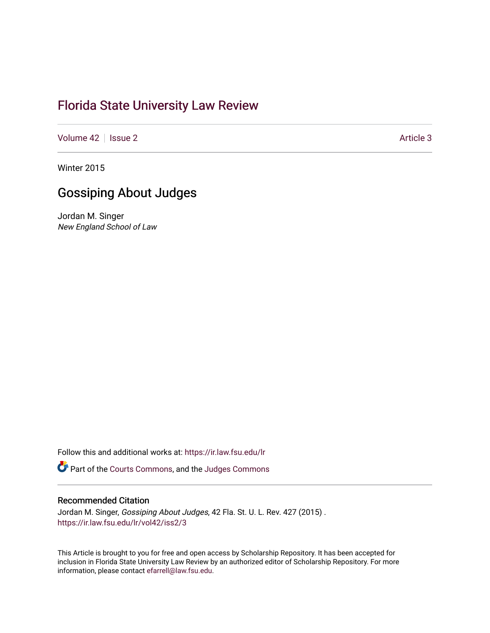# [Florida State University Law Review](https://ir.law.fsu.edu/lr)

[Volume 42](https://ir.law.fsu.edu/lr/vol42) | [Issue 2](https://ir.law.fsu.edu/lr/vol42/iss2) Article 3

Winter 2015

# Gossiping About Judges

Jordan M. Singer New England School of Law

Follow this and additional works at: [https://ir.law.fsu.edu/lr](https://ir.law.fsu.edu/lr?utm_source=ir.law.fsu.edu%2Flr%2Fvol42%2Fiss2%2F3&utm_medium=PDF&utm_campaign=PDFCoverPages) 

Part of the [Courts Commons,](https://network.bepress.com/hgg/discipline/839?utm_source=ir.law.fsu.edu%2Flr%2Fvol42%2Fiss2%2F3&utm_medium=PDF&utm_campaign=PDFCoverPages) and the [Judges Commons](https://network.bepress.com/hgg/discipline/849?utm_source=ir.law.fsu.edu%2Flr%2Fvol42%2Fiss2%2F3&utm_medium=PDF&utm_campaign=PDFCoverPages) 

# Recommended Citation

Jordan M. Singer, Gossiping About Judges, 42 Fla. St. U. L. Rev. 427 (2015) . [https://ir.law.fsu.edu/lr/vol42/iss2/3](https://ir.law.fsu.edu/lr/vol42/iss2/3?utm_source=ir.law.fsu.edu%2Flr%2Fvol42%2Fiss2%2F3&utm_medium=PDF&utm_campaign=PDFCoverPages)

This Article is brought to you for free and open access by Scholarship Repository. It has been accepted for inclusion in Florida State University Law Review by an authorized editor of Scholarship Repository. For more information, please contact [efarrell@law.fsu.edu](mailto:efarrell@law.fsu.edu).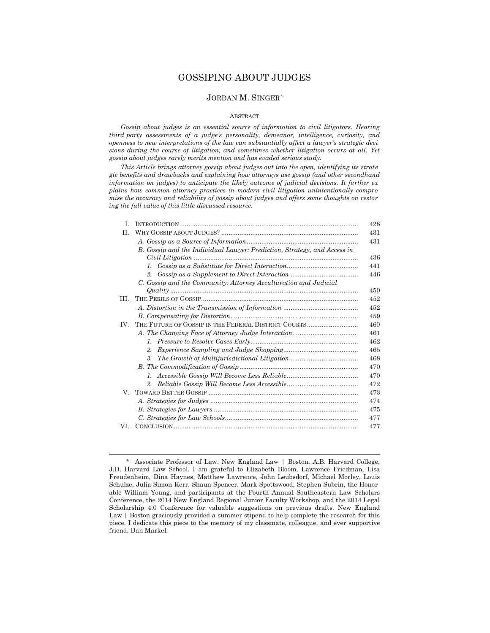## GOSSIPING ABOUT JUDGES

# JORDAN M. SINGER\*

#### ABSTRACT

 *Gossip about judges is an essential source of information to civil litigators. Hearing third party assessments of a judge's personality, demeanor, intelligence, curiosity, and openness to new interpretations of the law can substantially affect a lawyer's strategic deci sions during the course of litigation, and sometimes whether litigation occurs at all. Yet gossip about judges rarely merits mention and has evaded serious study.* 

 *This Article brings attorney gossip about judges out into the open, identifying its strate gic benefits and drawbacks and explaining how attorneys use gossip (and other secondhand information on judges) to anticipate the likely outcome of judicial decisions. It further ex plains how common attorney practices in modern civil litigation unintentionally compro mise the accuracy and reliability of gossip about judges and offers some thoughts on restor ing the full value of this little discussed resource.* 

| L   |                                                                          | 428 |
|-----|--------------------------------------------------------------------------|-----|
| H.  |                                                                          | 431 |
|     |                                                                          | 431 |
|     | B. Gossip and the Individual Lawyer: Prediction, Strategy, and Access in |     |
|     |                                                                          | 436 |
|     |                                                                          | 441 |
|     | $2^{\circ}$                                                              | 446 |
|     | C. Gossip and the Community: Attorney Acculturation and Judicial         |     |
|     |                                                                          | 450 |
| HL. |                                                                          | 452 |
|     |                                                                          | 452 |
|     |                                                                          | 459 |
| IV. | THE FUTURE OF GOSSIP IN THE FEDERAL DISTRICT COURTS                      | 460 |
|     |                                                                          | 461 |
|     |                                                                          | 462 |
|     | 2.                                                                       | 465 |
|     | $\mathcal{S}_{\cdot}$                                                    | 468 |
|     |                                                                          | 470 |
|     |                                                                          | 470 |
|     |                                                                          | 472 |
| V.  |                                                                          | 473 |
|     |                                                                          | 474 |
|     |                                                                          | 475 |
|     |                                                                          | 477 |
| VI. |                                                                          | 477 |

 <sup>\*</sup> Associate Professor of Law, New England Law | Boston. A.B. Harvard College, J.D. Harvard Law School. I am grateful to Elizabeth Bloom, Lawrence Friedman, Lisa Freudenheim, Dina Haynes, Matthew Lawrence, John Leubsdorf, Michael Morley, Louis Schulze, Julia Simon Kerr, Shaun Spencer, Mark Spottswood, Stephen Subrin, the Honor able William Young, and participants at the Fourth Annual Southeastern Law Scholars Conference, the 2014 New England Regional Junior Faculty Workshop, and the 2014 Legal Scholarship 4.0 Conference for valuable suggestions on previous drafts. New England Law | Boston graciously provided a summer stipend to help complete the research for this piece. I dedicate this piece to the memory of my classmate, colleague, and ever supportive friend, Dan Markel.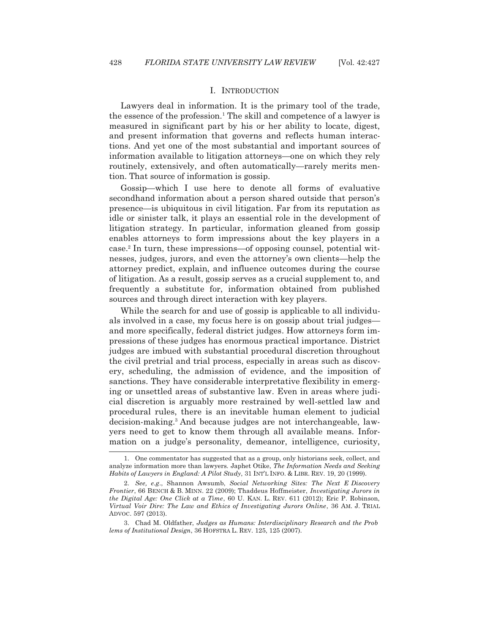#### I. INTRODUCTION

 Lawyers deal in information. It is the primary tool of the trade, the essence of the profession.<sup>1</sup> The skill and competence of a lawyer is measured in significant part by his or her ability to locate, digest, and present information that governs and reflects human interactions. And yet one of the most substantial and important sources of information available to litigation attorneys—one on which they rely routinely, extensively, and often automatically—rarely merits mention. That source of information is gossip.

 Gossip—which I use here to denote all forms of evaluative secondhand information about a person shared outside that person's presence—is ubiquitous in civil litigation. Far from its reputation as idle or sinister talk, it plays an essential role in the development of litigation strategy. In particular, information gleaned from gossip enables attorneys to form impressions about the key players in a case.2 In turn, these impressions—of opposing counsel, potential witnesses, judges, jurors, and even the attorney's own clients—help the attorney predict, explain, and influence outcomes during the course of litigation. As a result, gossip serves as a crucial supplement to, and frequently a substitute for, information obtained from published sources and through direct interaction with key players.

 While the search for and use of gossip is applicable to all individuals involved in a case, my focus here is on gossip about trial judges and more specifically, federal district judges. How attorneys form impressions of these judges has enormous practical importance. District judges are imbued with substantial procedural discretion throughout the civil pretrial and trial process, especially in areas such as discovery, scheduling, the admission of evidence, and the imposition of sanctions. They have considerable interpretative flexibility in emerging or unsettled areas of substantive law. Even in areas where judicial discretion is arguably more restrained by well-settled law and procedural rules, there is an inevitable human element to judicial decision-making.3 And because judges are not interchangeable, lawyers need to get to know them through all available means. Information on a judge's personality, demeanor, intelligence, curiosity,

 <sup>1.</sup> One commentator has suggested that as a group, only historians seek, collect, and analyze information more than lawyers*.* Japhet Otike, *The Information Needs and Seeking Habits of Lawyers in England: A Pilot Study*, 31 INT'L INFO.&LIBR. REV. 19, 20 (1999).

 <sup>2.</sup> *See, e.g*., Shannon Awsumb, *Social Networking Sites: The Next E Discovery Frontier*, 66 BENCH & B. MINN. 22 (2009); Thaddeus Hoffmeister, *Investigating Jurors in the Digital Age: One Click at a Time*, 60 U. KAN. L. REV. 611 (2012); Eric P. Robinson, *Virtual Voir Dire: The Law and Ethics of Investigating Jurors Online*, 36 AM. J. TRIAL ADVOC. 597 (2013).

 <sup>3.</sup> Chad M. Oldfather, *Judges as Humans: Interdisciplinary Research and the Prob lems of Institutional Design*, 36 HOFSTRA L. REV. 125, 125 (2007).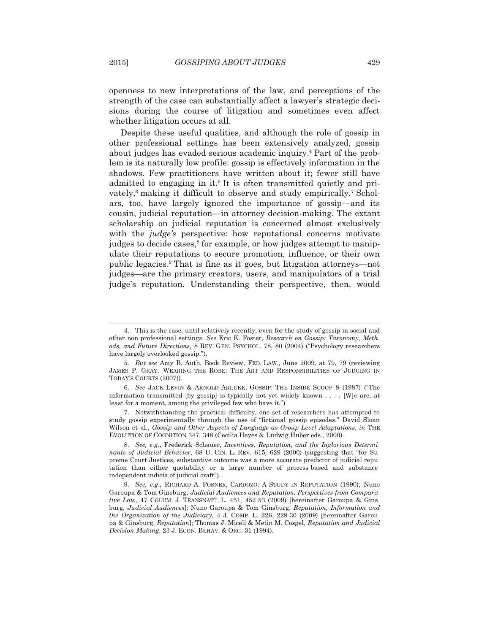openness to new interpretations of the law, and perceptions of the strength of the case can substantially affect a lawyer's strategic decisions during the course of litigation and sometimes even affect whether litigation occurs at all.

 Despite these useful qualities, and although the role of gossip in other professional settings has been extensively analyzed, gossip about judges has evaded serious academic inquiry.<sup>4</sup> Part of the problem is its naturally low profile: gossip is effectively information in the shadows. Few practitioners have written about it; fewer still have admitted to engaging in it.<sup>5</sup> It is often transmitted quietly and privately,<sup>6</sup> making it difficult to observe and study empirically.<sup>7</sup> Scholars, too, have largely ignored the importance of gossip—and its cousin, judicial reputation—in attorney decision-making. The extant scholarship on judicial reputation is concerned almost exclusively with the *judge's* perspective: how reputational concerns motivate judges to decide cases,<sup>8</sup> for example, or how judges attempt to manipulate their reputations to secure promotion, influence, or their own public legacies.9 That is fine as it goes, but litigation attorneys—not judges—are the primary creators, users, and manipulators of a trial judge's reputation. Understanding their perspective, then, would

 7. Notwithstanding the practical difficulty, one set of researchers has attempted to study gossip experimentally through the use of "fictional gossip episodes." David Sloan Wilson et al., *Gossip and Other Aspects of Language as Group Level Adaptations*, *in* THE EVOLUTION OF COGNITION 347, 348 (Cecilia Heyes & Ludwig Huber eds., 2000).

 <sup>4.</sup> This is the case, until relatively recently, even for the study of gossip in social and other non professional settings. *See* Eric K. Foster, *Research on Gossip: Taxonomy, Meth ods, and Future Directions*, 8 REV. GEN. PSYCHOL. 78, 80 (2004) ("Psychology researchers have largely overlooked gossip.").

 <sup>5.</sup> *But see* Amy B. Auth, Book Review, FED. LAW., June 2009, at 79, 79 (reviewing JAMES P. GRAY, WEARING THE ROBE: THE ART AND RESPONSIBILITIES OF JUDGING IN TODAY'S COURTS (2007)).

 <sup>6.</sup> *See* JACK LEVIN & ARNOLD ARLUKE, GOSSIP: THE INSIDE SCOOP 8 (1987) ("The information transmitted [by gossip] is typically not yet widely known . . . . [W]e are, at least for a moment, among the privileged few who have it.")

 <sup>8.</sup> *See, e.g*., Frederick Schauer, *Incentives, Reputation, and the Inglorious Determi nants of Judicial Behavior*, 68 U. CIN. L. REV. 615, 629 (2000) (suggesting that "for Su preme Court Justices, substantive outcome was a more accurate predictor of judicial repu tation than either quotability or a large number of process based and substance independent indicia of judicial craft").

<sup>9.</sup> *See, e.g.*, RICHARD A. POSNER, CARDOZO: A STUDY IN REPUTATION (1990); Nuno Garoupa & Tom Ginsburg, *Judicial Audiences and Reputation: Perspectives from Compara tive Law*, 47 COLUM. J. TRANSNAT'L L. 451, 452 53 (2009) [hereinafter Garoupa & Gins burg, *Judicial Audiences*]; Nuno Garoupa & Tom Ginsburg, *Reputation, Information and the Organization of the Judiciary*, 4 J. COMP. L. 226, 229 30 (2009) [hereinafter Garou pa & Ginsburg, *Reputation*]; Thomas J. Miceli & Metin M. Cosgel, *Reputation and Judicial Decision Making*, 23 J. ECON. BEHAV.&ORG. 31 (1994).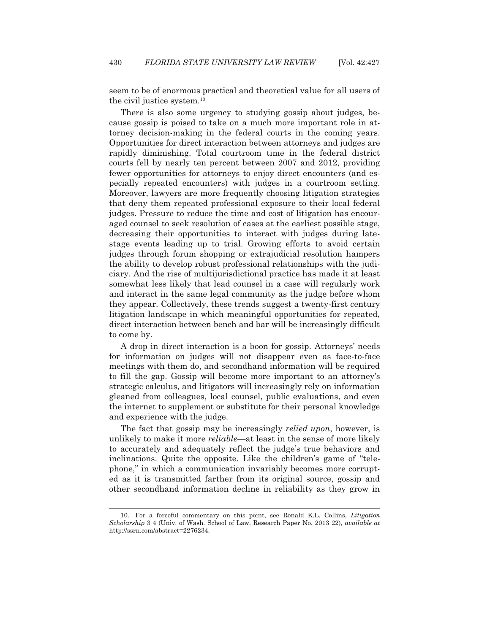seem to be of enormous practical and theoretical value for all users of the civil justice system.10

 There is also some urgency to studying gossip about judges, because gossip is poised to take on a much more important role in attorney decision-making in the federal courts in the coming years. Opportunities for direct interaction between attorneys and judges are rapidly diminishing. Total courtroom time in the federal district courts fell by nearly ten percent between 2007 and 2012, providing fewer opportunities for attorneys to enjoy direct encounters (and especially repeated encounters) with judges in a courtroom setting. Moreover, lawyers are more frequently choosing litigation strategies that deny them repeated professional exposure to their local federal judges. Pressure to reduce the time and cost of litigation has encouraged counsel to seek resolution of cases at the earliest possible stage, decreasing their opportunities to interact with judges during latestage events leading up to trial. Growing efforts to avoid certain judges through forum shopping or extrajudicial resolution hampers the ability to develop robust professional relationships with the judiciary. And the rise of multijurisdictional practice has made it at least somewhat less likely that lead counsel in a case will regularly work and interact in the same legal community as the judge before whom they appear. Collectively, these trends suggest a twenty-first century litigation landscape in which meaningful opportunities for repeated, direct interaction between bench and bar will be increasingly difficult to come by.

 A drop in direct interaction is a boon for gossip. Attorneys' needs for information on judges will not disappear even as face-to-face meetings with them do, and secondhand information will be required to fill the gap. Gossip will become more important to an attorney's strategic calculus, and litigators will increasingly rely on information gleaned from colleagues, local counsel, public evaluations, and even the internet to supplement or substitute for their personal knowledge and experience with the judge.

 The fact that gossip may be increasingly *relied upon*, however, is unlikely to make it more *reliable*—at least in the sense of more likely to accurately and adequately reflect the judge's true behaviors and inclinations. Quite the opposite. Like the children's game of "telephone," in which a communication invariably becomes more corrupted as it is transmitted farther from its original source, gossip and other secondhand information decline in reliability as they grow in

 <sup>10.</sup> For a forceful commentary on this point, see Ronald K.L. Collins, *Litigation Scholarship* 3 4 (Univ. of Wash. School of Law, Research Paper No. 2013 22), *available at* http://ssrn.com/abstract=2276234.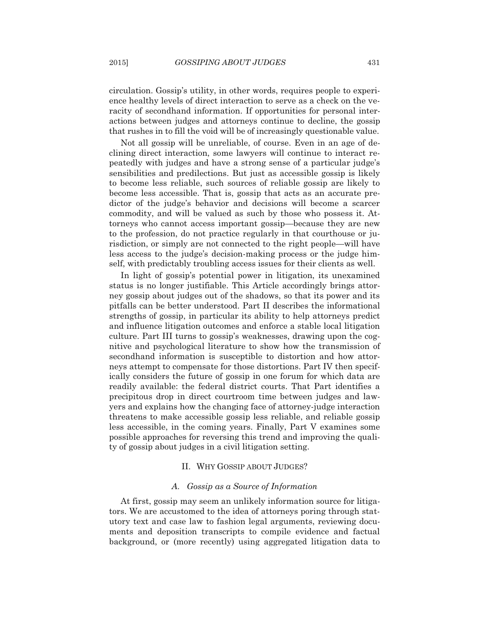circulation. Gossip's utility, in other words, requires people to experience healthy levels of direct interaction to serve as a check on the veracity of secondhand information. If opportunities for personal interactions between judges and attorneys continue to decline, the gossip that rushes in to fill the void will be of increasingly questionable value.

 Not all gossip will be unreliable, of course. Even in an age of declining direct interaction, some lawyers will continue to interact repeatedly with judges and have a strong sense of a particular judge's sensibilities and predilections. But just as accessible gossip is likely to become less reliable, such sources of reliable gossip are likely to become less accessible. That is, gossip that acts as an accurate predictor of the judge's behavior and decisions will become a scarcer commodity, and will be valued as such by those who possess it. Attorneys who cannot access important gossip—because they are new to the profession, do not practice regularly in that courthouse or jurisdiction, or simply are not connected to the right people—will have less access to the judge's decision-making process or the judge himself, with predictably troubling access issues for their clients as well.

 In light of gossip's potential power in litigation, its unexamined status is no longer justifiable. This Article accordingly brings attorney gossip about judges out of the shadows, so that its power and its pitfalls can be better understood. Part II describes the informational strengths of gossip, in particular its ability to help attorneys predict and influence litigation outcomes and enforce a stable local litigation culture. Part III turns to gossip's weaknesses, drawing upon the cognitive and psychological literature to show how the transmission of secondhand information is susceptible to distortion and how attorneys attempt to compensate for those distortions. Part IV then specifically considers the future of gossip in one forum for which data are readily available: the federal district courts. That Part identifies a precipitous drop in direct courtroom time between judges and lawyers and explains how the changing face of attorney-judge interaction threatens to make accessible gossip less reliable, and reliable gossip less accessible, in the coming years. Finally, Part V examines some possible approaches for reversing this trend and improving the quality of gossip about judges in a civil litigation setting.

#### II. WHY GOSSIP ABOUT JUDGES?

# *A. Gossip as a Source of Information*

 At first, gossip may seem an unlikely information source for litigators. We are accustomed to the idea of attorneys poring through statutory text and case law to fashion legal arguments, reviewing documents and deposition transcripts to compile evidence and factual background, or (more recently) using aggregated litigation data to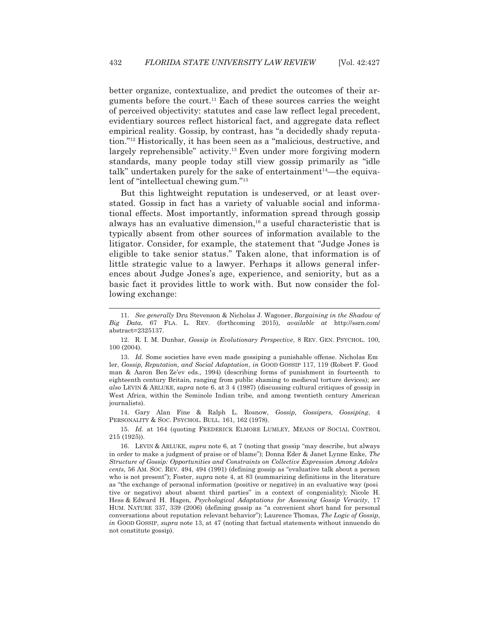better organize, contextualize, and predict the outcomes of their arguments before the court.<sup>11</sup> Each of these sources carries the weight of perceived objectivity: statutes and case law reflect legal precedent, evidentiary sources reflect historical fact, and aggregate data reflect empirical reality. Gossip, by contrast, has "a decidedly shady reputation."12 Historically, it has been seen as a "malicious, destructive, and largely reprehensible" activity.<sup>13</sup> Even under more forgiving modern standards, many people today still view gossip primarily as "idle talk" undertaken purely for the sake of entertainment $14$ —the equivalent of "intellectual chewing gum."<sup>15</sup>

 But this lightweight reputation is undeserved, or at least overstated. Gossip in fact has a variety of valuable social and informational effects. Most importantly, information spread through gossip always has an evaluative dimension,<sup>16</sup> a useful characteristic that is typically absent from other sources of information available to the litigator. Consider, for example, the statement that "Judge Jones is eligible to take senior status." Taken alone, that information is of little strategic value to a lawyer. Perhaps it allows general inferences about Judge Jones's age, experience, and seniority, but as a basic fact it provides little to work with. But now consider the following exchange:

l

 14. Gary Alan Fine & Ralph L. Rosnow, *Gossip, Gossipers, Gossiping*, 4 PERSONALITY & SOC. PSYCHOL. BULL. 161, 162 (1978).

 15. *Id.* at 164 (quoting FREDERICK ELMORE LUMLEY, MEANS OF SOCIAL CONTROL 215 (1925)).

 <sup>11.</sup> *See generally* Dru Stevenson & Nicholas J. Wagoner, *Bargaining in the Shadow of Big Data*, 67 FLA. L. REV. (forthcoming 2015), *available at* http://ssrn.com/ abstract=2325137.

 <sup>12.</sup> R. I. M. Dunbar, *Gossip in Evolutionary Perspective*, 8 REV. GEN. PSYCHOL. 100, 100 (2004).

 <sup>13.</sup> *Id.* Some societies have even made gossiping a punishable offense. Nicholas Em ler, *Gossip, Reputation, and Social Adaptation*, *in* GOOD GOSSIP 117, 119 (Robert F. Good man & Aaron Ben Ze'ev eds., 1994) (describing forms of punishment in fourteenth to eighteenth century Britain, ranging from public shaming to medieval torture devices); *see also* LEVIN & ARLUKE, *supra* note 6, at 3 4 (1987) (discussing cultural critiques of gossip in West Africa, within the Seminole Indian tribe, and among twentieth century American journalists).

 <sup>16.</sup> LEVIN & ARLUKE, *supra* note 6, at 7 (noting that gossip "may describe, but always in order to make a judgment of praise or of blame"); Donna Eder & Janet Lynne Enke, *The Structure of Gossip: Opportunities and Constraints on Collective Expression Among Adoles cents*, 56 AM. SOC. REV. 494, 494 (1991) (defining gossip as "evaluative talk about a person who is not present"); Foster, *supra* note 4, at 83 (summarizing definitions in the literature as "the exchange of personal information (positive or negative) in an evaluative way (posi tive or negative) about absent third parties" in a context of congeniality); Nicole H. Hess & Edward H. Hagen, *Psychological Adaptations for Assessing Gossip Veracity*, 17 HUM. NATURE 337, 339 (2006) (defining gossip as "a convenient short hand for personal conversations about reputation relevant behavior"); Laurence Thomas, *The Logic of Gossip*, *in* GOOD GOSSIP, *supra* note 13, at 47 (noting that factual statements without innuendo do not constitute gossip).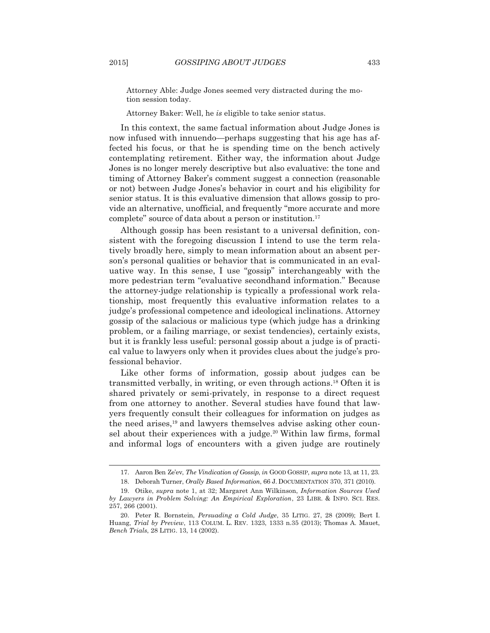Attorney Able: Judge Jones seemed very distracted during the motion session today.

Attorney Baker: Well, he *is* eligible to take senior status.

 In this context, the same factual information about Judge Jones is now infused with innuendo—perhaps suggesting that his age has affected his focus, or that he is spending time on the bench actively contemplating retirement. Either way, the information about Judge Jones is no longer merely descriptive but also evaluative: the tone and timing of Attorney Baker's comment suggest a connection (reasonable or not) between Judge Jones's behavior in court and his eligibility for senior status. It is this evaluative dimension that allows gossip to provide an alternative, unofficial, and frequently "more accurate and more complete" source of data about a person or institution.17

 Although gossip has been resistant to a universal definition, consistent with the foregoing discussion I intend to use the term relatively broadly here, simply to mean information about an absent person's personal qualities or behavior that is communicated in an evaluative way. In this sense, I use "gossip" interchangeably with the more pedestrian term "evaluative secondhand information." Because the attorney-judge relationship is typically a professional work relationship, most frequently this evaluative information relates to a judge's professional competence and ideological inclinations. Attorney gossip of the salacious or malicious type (which judge has a drinking problem, or a failing marriage, or sexist tendencies), certainly exists, but it is frankly less useful: personal gossip about a judge is of practical value to lawyers only when it provides clues about the judge's professional behavior.

 Like other forms of information, gossip about judges can be transmitted verbally, in writing, or even through actions.18 Often it is shared privately or semi-privately, in response to a direct request from one attorney to another. Several studies have found that lawyers frequently consult their colleagues for information on judges as the need arises,19 and lawyers themselves advise asking other counsel about their experiences with a judge.<sup>20</sup> Within law firms, formal and informal logs of encounters with a given judge are routinely

 <sup>17.</sup> Aaron Ben Ze'ev, *The Vindication of Gossip*, *in* GOOD GOSSIP, *supra* note 13, at 11, 23.

 <sup>18.</sup> Deborah Turner, *Orally Based Information*, 66 J. DOCUMENTATION 370, 371 (2010).

 <sup>19.</sup> Otike, *supra* note 1, at 32; Margaret Ann Wilkinson, *Information Sources Used by Lawyers in Problem Solving: An Empirical Exploration*, 23 LIBR.&INFO. SCI. RES. 257, 266 (2001).

 <sup>20.</sup> Peter R. Bornstein, *Persuading a Cold Judge*, 35 LITIG. 27, 28 (2009); Bert I. Huang, *Trial by Preview*, 113 COLUM. L. REV. 1323, 1333 n.35 (2013); Thomas A. Mauet, *Bench Trials*, 28 LITIG. 13, 14 (2002).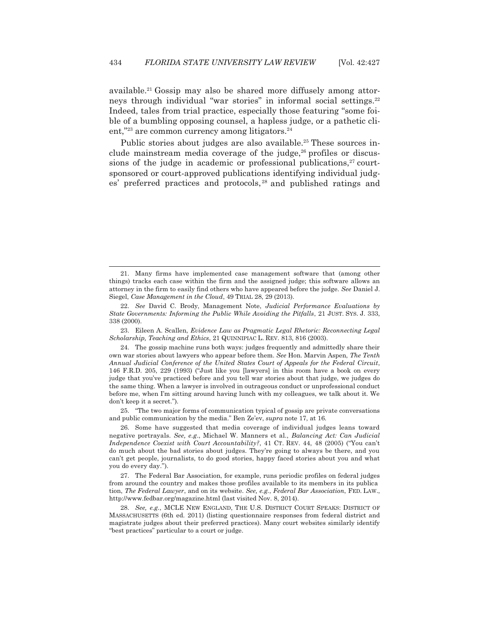available.21 Gossip may also be shared more diffusely among attorneys through individual "war stories" in informal social settings.<sup>22</sup> Indeed, tales from trial practice, especially those featuring "some foible of a bumbling opposing counsel, a hapless judge, or a pathetic client,"<sup>23</sup> are common currency among litigators.<sup>24</sup>

Public stories about judges are also available.<sup>25</sup> These sources include mainstream media coverage of the judge, $26$  profiles or discussions of the judge in academic or professional publications, $27$  courtsponsored or court-approved publications identifying individual judges' preferred practices and protocols, 28 and published ratings and

 $\overline{a}$ 

 23. Eileen A. Scallen, *Evidence Law as Pragmatic Legal Rhetoric: Reconnecting Legal Scholarship, Teaching and Ethics*, 21 QUINNIPIAC L. REV. 813, 816 (2003).

 25. "The two major forms of communication typical of gossip are private conversations and public communication by the media." Ben Ze'ev, *supra* note 17, at 16.

 <sup>21.</sup> Many firms have implemented case management software that (among other things) tracks each case within the firm and the assigned judge; this software allows an attorney in the firm to easily find others who have appeared before the judge. *See* Daniel J. Siegel, *Case Management in the Cloud*, 49 TRIAL 28, 29 (2013).

 <sup>22.</sup> *See* David C. Brody, Management Note, *Judicial Performance Evaluations by State Governments: Informing the Public While Avoiding the Pitfalls*, 21 JUST. SYS. J. 333, 338 (2000).

 <sup>24.</sup> The gossip machine runs both ways: judges frequently and admittedly share their own war stories about lawyers who appear before them. *See* Hon. Marvin Aspen, *The Tenth Annual Judicial Conference of the United States Court of Appeals for the Federal Circuit*, 146 F.R.D. 205, 229 (1993) ("Just like you [lawyers] in this room have a book on every judge that you've practiced before and you tell war stories about that judge, we judges do the same thing. When a lawyer is involved in outrageous conduct or unprofessional conduct before me, when I'm sitting around having lunch with my colleagues, we talk about it. We don't keep it a secret.").

 <sup>26.</sup> Some have suggested that media coverage of individual judges leans toward negative portrayals. *See, e.g*., Michael W. Manners et al., *Balancing Act: Can Judicial Independence Coexist with Court Accountability?*, 41 CT. REV. 44, 48 (2005) ("You can't do much about the bad stories about judges. They're going to always be there, and you can't get people, journalists, to do good stories, happy faced stories about you and what you do every day.").

 <sup>27.</sup> The Federal Bar Association, for example, runs periodic profiles on federal judges from around the country and makes those profiles available to its members in its publica tion, *The Federal Lawyer*, and on its website. *See, e.g.*, *Federal Bar Association*, FED. LAW., http://www.fedbar.org/magazine.html (last visited Nov. 8, 2014).

 <sup>28.</sup> *See, e.g*., MCLE NEW ENGLAND, THE U.S. DISTRICT COURT SPEAKS: DISTRICT OF MASSACHUSETTS (6th ed. 2011) (listing questionnaire responses from federal district and magistrate judges about their preferred practices). Many court websites similarly identify "best practices" particular to a court or judge.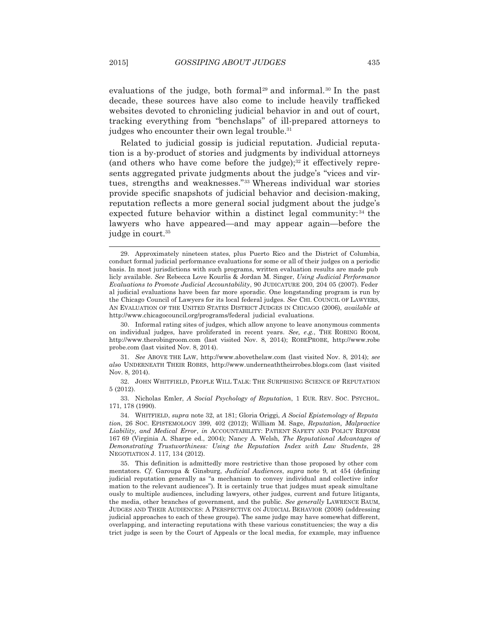evaluations of the judge, both formal<sup>29</sup> and informal.<sup>30</sup> In the past decade, these sources have also come to include heavily trafficked websites devoted to chronicling judicial behavior in and out of court, tracking everything from "benchslaps" of ill-prepared attorneys to judges who encounter their own legal trouble.<sup>31</sup>

 Related to judicial gossip is judicial reputation. Judicial reputation is a by-product of stories and judgments by individual attorneys (and others who have come before the judge); $32$  it effectively represents aggregated private judgments about the judge's "vices and virtues, strengths and weaknesses."33 Whereas individual war stories provide specific snapshots of judicial behavior and decision-making, reputation reflects a more general social judgment about the judge's expected future behavior within a distinct legal community:<sup>34</sup> the lawyers who have appeared—and may appear again—before the judge in court.<sup>35</sup>

 <sup>29.</sup> Approximately nineteen states, plus Puerto Rico and the District of Columbia, conduct formal judicial performance evaluations for some or all of their judges on a periodic basis. In most jurisdictions with such programs, written evaluation results are made pub licly available. *See* Rebecca Love Kourlis & Jordan M. Singer, *Using Judicial Performance Evaluations to Promote Judicial Accountability*, 90 JUDICATURE 200, 204 05 (2007). Feder al judicial evaluations have been far more sporadic. One longstanding program is run by the Chicago Council of Lawyers for its local federal judges. *See* CHI. COUNCIL OF LAWYERS, AN EVALUATION OF THE UNITED STATES DISTRICT JUDGES IN CHICAGO (2006), *available at* http://www.chicagocouncil.org/programs/federal judicial evaluations.

 <sup>30.</sup> Informal rating sites of judges, which allow anyone to leave anonymous comments on individual judges, have proliferated in recent years. *See, e.g.*, THE ROBING ROOM, http://www.therobingroom.com (last visited Nov. 8, 2014); ROBEPROBE, http://www.robe probe.com (last visited Nov. 8, 2014).

 <sup>31.</sup> *See* ABOVE THE LAW, http://www.abovethelaw.com (last visited Nov. 8, 2014); *see also* UNDERNEATH THEIR ROBES, http://www.underneaththeirrobes.blogs.com (last visited Nov. 8, 2014).

 <sup>32.</sup> JOHN WHITFIELD, PEOPLE WILL TALK: THE SURPRISING SCIENCE OF REPUTATION 5 (2012).

 <sup>33.</sup> Nicholas Emler, *A Social Psychology of Reputation*, 1 EUR. REV. SOC. PSYCHOL. 171, 178 (1990).

 <sup>34.</sup> WHITFIELD, *supra* note 32, at 181; Gloria Origgi, *A Social Epistemology of Reputa tion*, 26 SOC. EPISTEMOLOGY 399, 402 (2012); William M. Sage, *Reputation, Malpractice Liability, and Medical Error*, *in* ACCOUNTABILITY: PATIENT SAFETY AND POLICY REFORM 167 69 (Virginia A. Sharpe ed., 2004); Nancy A. Welsh, *The Reputational Advantages of Demonstrating Trustworthiness: Using the Reputation Index with Law Students*, 28 NEGOTIATION J. 117, 134 (2012).

 <sup>35.</sup> This definition is admittedly more restrictive than those proposed by other com mentators. *Cf*. Garoupa & Ginsburg, *Judicial Audiences*, *supra* note 9, at 454 (defining judicial reputation generally as "a mechanism to convey individual and collective infor mation to the relevant audiences"). It is certainly true that judges must speak simultane ously to multiple audiences, including lawyers, other judges, current and future litigants, the media, other branches of government, and the public. *See generally* LAWRENCE BAUM, JUDGES AND THEIR AUDIENCES: A PERSPECTIVE ON JUDICIAL BEHAVIOR (2008) (addressing judicial approaches to each of these groups). The same judge may have somewhat different, overlapping, and interacting reputations with these various constituencies; the way a dis trict judge is seen by the Court of Appeals or the local media, for example, may influence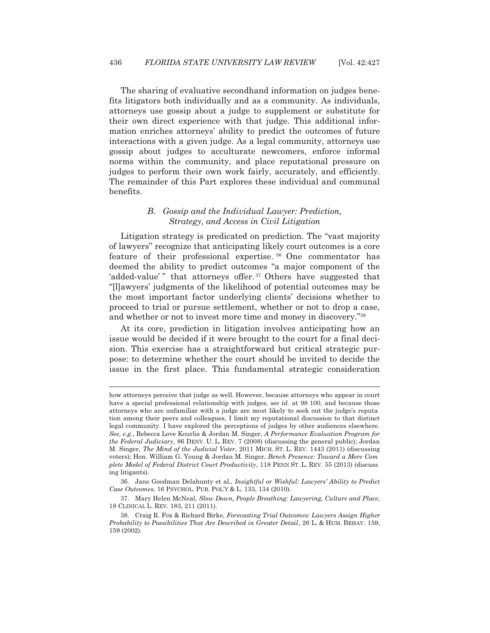The sharing of evaluative secondhand information on judges benefits litigators both individually and as a community. As individuals, attorneys use gossip about a judge to supplement or substitute for their own direct experience with that judge. This additional information enriches attorneys' ability to predict the outcomes of future interactions with a given judge. As a legal community, attorneys use gossip about judges to acculturate newcomers, enforce informal norms within the community, and place reputational pressure on judges to perform their own work fairly, accurately, and efficiently. The remainder of this Part explores these individual and communal benefits.

# *B. Gossip and the Individual Lawyer: Prediction, Strategy, and Access in Civil Litigation*

 Litigation strategy is predicated on prediction. The "vast majority of lawyers" recognize that anticipating likely court outcomes is a core feature of their professional expertise. 36 One commentator has deemed the ability to predict outcomes "a major component of the 'added-value'" that attorneys offer.<sup>37</sup> Others have suggested that "[l]awyers' judgments of the likelihood of potential outcomes may be the most important factor underlying clients' decisions whether to proceed to trial or pursue settlement, whether or not to drop a case, and whether or not to invest more time and money in discovery."38

 At its core, prediction in litigation involves anticipating how an issue would be decided if it were brought to the court for a final decision. This exercise has a straightforward but critical strategic purpose: to determine whether the court should be invited to decide the issue in the first place. This fundamental strategic consideration

l,

how attorneys perceive that judge as well. However, because attorneys who appear in court have a special professional relationship with judges, *see id.* at 98 100, and because those attorneys who are unfamiliar with a judge are most likely to seek out the judge's reputa tion among their peers and colleagues, I limit my reputational discussion to that distinct legal community. I have explored the perceptions of judges by other audiences elsewhere. *See, e.g.*, Rebecca Love Kourlis & Jordan M. Singer, *A Performance Evaluation Program for the Federal Judiciary*, 86 DENV. U. L. REV. 7 (2008) (discussing the general public); Jordan M. Singer, *The Mind of the Judicial Voter*, 2011 MICH. ST. L. REV. 1443 (2011) (discussing voters); Hon. William G. Young & Jordan M. Singer, *Bench Presence: Toward a More Com plete Model of Federal District Court Productivity*, 118 PENN ST. L. REV. 55 (2013) (discuss ing litigants).

 <sup>36.</sup> Jane Goodman Delahunty et al., *Insightful or Wishful: Lawyers' Ability to Predict Case Outcomes*, 16 PSYCHOL. PUB. POL'Y & L. 133, 134 (2010).

 <sup>37.</sup> Mary Helen McNeal, *Slow Down, People Breathing: Lawyering, Culture and Place*, 18 CLINICAL L. REV. 183, 211 (2011).

 <sup>38.</sup> Craig R. Fox & Richard Birke, *Forecasting Trial Outcomes: Lawyers Assign Higher Probability to Possibilities That Are Described in Greater Detail*, 26 L. & HUM. BEHAV. 159, 159 (2002).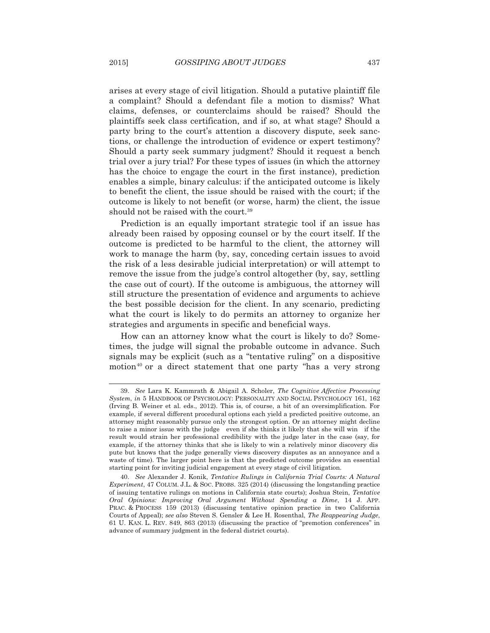arises at every stage of civil litigation. Should a putative plaintiff file a complaint? Should a defendant file a motion to dismiss? What claims, defenses, or counterclaims should be raised? Should the plaintiffs seek class certification, and if so, at what stage? Should a party bring to the court's attention a discovery dispute, seek sanctions, or challenge the introduction of evidence or expert testimony? Should a party seek summary judgment? Should it request a bench trial over a jury trial? For these types of issues (in which the attorney has the choice to engage the court in the first instance), prediction enables a simple, binary calculus: if the anticipated outcome is likely to benefit the client, the issue should be raised with the court; if the outcome is likely to not benefit (or worse, harm) the client, the issue should not be raised with the court.<sup>39</sup>

 Prediction is an equally important strategic tool if an issue has already been raised by opposing counsel or by the court itself. If the outcome is predicted to be harmful to the client, the attorney will work to manage the harm (by, say, conceding certain issues to avoid the risk of a less desirable judicial interpretation) or will attempt to remove the issue from the judge's control altogether (by, say, settling the case out of court). If the outcome is ambiguous, the attorney will still structure the presentation of evidence and arguments to achieve the best possible decision for the client. In any scenario, predicting what the court is likely to do permits an attorney to organize her strategies and arguments in specific and beneficial ways.

 How can an attorney know what the court is likely to do? Sometimes, the judge will signal the probable outcome in advance. Such signals may be explicit (such as a "tentative ruling" on a dispositive motion<sup>40</sup> or a direct statement that one party "has a very strong

 <sup>39.</sup> *See* Lara K. Kammrath & Abigail A. Scholer, *The Cognitive Affective Processing System*, *in* 5 HANDBOOK OF PSYCHOLOGY: PERSONALITY AND SOCIAL PSYCHOLOGY 161, 162 (Irving B. Weiner et al. eds., 2012). This is, of course, a bit of an oversimplification. For example, if several different procedural options each yield a predicted positive outcome, an attorney might reasonably pursue only the strongest option. Or an attorney might decline to raise a minor issue with the judge even if she thinks it likely that she will win if the result would strain her professional credibility with the judge later in the case (say, for example, if the attorney thinks that she is likely to win a relatively minor discovery dis pute but knows that the judge generally views discovery disputes as an annoyance and a waste of time). The larger point here is that the predicted outcome provides an essential starting point for inviting judicial engagement at every stage of civil litigation.

 <sup>40.</sup> *See* Alexander J. Konik, *Tentative Rulings in California Trial Courts: A Natural Experiment*, 47 COLUM. J.L. & SOC. PROBS. 325 (2014) (discussing the longstanding practice of issuing tentative rulings on motions in California state courts); Joshua Stein, *Tentative Oral Opinions: Improving Oral Argument Without Spending a Dime*, 14 J. APP. PRAC. & PROCESS 159 (2013) (discussing tentative opinion practice in two California Courts of Appeal); *see also* Steven S. Gensler & Lee H. Rosenthal, *The Reappearing Judge*, 61 U. KAN. L. REV. 849, 863 (2013) (discussing the practice of "premotion conferences" in advance of summary judgment in the federal district courts).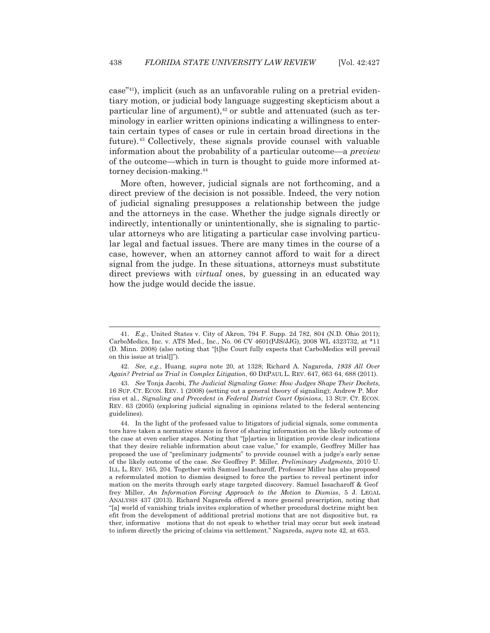case"41), implicit (such as an unfavorable ruling on a pretrial evidentiary motion, or judicial body language suggesting skepticism about a particular line of argument), $42$  or subtle and attenuated (such as terminology in earlier written opinions indicating a willingness to entertain certain types of cases or rule in certain broad directions in the future).43 Collectively, these signals provide counsel with valuable information about the probability of a particular outcome—a *preview* of the outcome—which in turn is thought to guide more informed attorney decision-making.44

 More often, however, judicial signals are not forthcoming, and a direct preview of the decision is not possible. Indeed, the very notion of judicial signaling presupposes a relationship between the judge and the attorneys in the case. Whether the judge signals directly or indirectly, intentionally or unintentionally, she is signaling to particular attorneys who are litigating a particular case involving particular legal and factual issues. There are many times in the course of a case, however, when an attorney cannot afford to wait for a direct signal from the judge. In these situations, attorneys must substitute direct previews with *virtual* ones, by guessing in an educated way how the judge would decide the issue.

 <sup>41.</sup> *E.g.*, United States v. City of Akron, 794 F. Supp. 2d 782, 804 (N.D. Ohio 2011); CarboMedics, Inc. v. ATS Med., Inc., No. 06 CV 4601(PJS/JJG), 2008 WL 4323732, at \*11 (D. Minn. 2008) (also noting that "[t]he Court fully expects that CarboMedics will prevail on this issue at trial[]").

 <sup>42.</sup> *See, e.g.*, Huang, *supra* note 20, at 1328; Richard A. Nagareda, *1938 All Over Again? Pretrial as Trial in Complex Litigation*, 60 DEPAUL L. REV. 647, 663 64, 688 (2011).

 <sup>43.</sup> *See* Tonja Jacobi, *The Judicial Signaling Game: How Judges Shape Their Dockets*, 16 SUP. CT. ECON. REV. 1 (2008) (setting out a general theory of signaling); Andrew P. Mor riss et al., *Signaling and Precedent in Federal District Court Opinions*, 13 SUP. CT. ECON. REV. 63 (2005) (exploring judicial signaling in opinions related to the federal sentencing guidelines).

 <sup>44.</sup> In the light of the professed value to litigators of judicial signals, some commenta tors have taken a normative stance in favor of sharing information on the likely outcome of the case at even earlier stages. Noting that "[p]arties in litigation provide clear indications that they desire reliable information about case value," for example, Geoffrey Miller has proposed the use of "preliminary judgments" to provide counsel with a judge's early sense of the likely outcome of the case. *See* Geoffrey P. Miller, *Preliminary Judgments*, 2010 U. ILL. L. REV. 165, 204. Together with Samuel Issacharoff, Professor Miller has also proposed a reformulated motion to dismiss designed to force the parties to reveal pertinent infor mation on the merits through early stage targeted discovery. Samuel Issacharoff & Geof frey Miller, *An Information Forcing Approach to the Motion to Dismiss*, 5 J. LEGAL ANALYSIS 437 (2013). Richard Nagareda offered a more general prescription, noting that "[a] world of vanishing trials invites exploration of whether procedural doctrine might ben efit from the development of additional pretrial motions that are not dispositive but, ra ther, informative motions that do not speak to whether trial may occur but seek instead to inform directly the pricing of claims via settlement." Nagareda, *supra* note 42, at 653.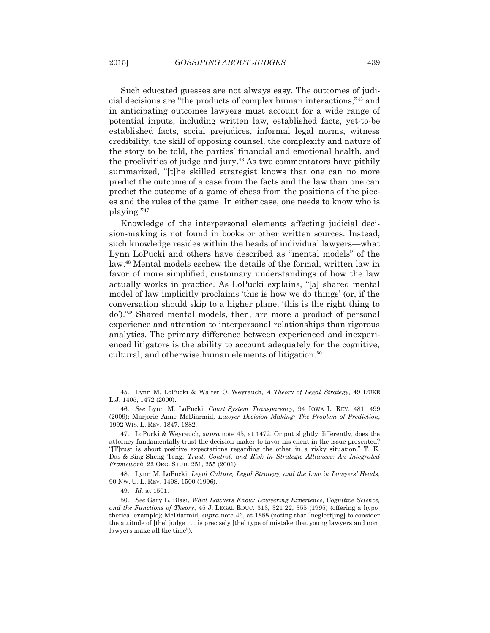Such educated guesses are not always easy. The outcomes of judicial decisions are "the products of complex human interactions,"45 and in anticipating outcomes lawyers must account for a wide range of potential inputs, including written law, established facts, yet-to-be established facts, social prejudices, informal legal norms, witness credibility, the skill of opposing counsel, the complexity and nature of the story to be told, the parties' financial and emotional health, and the proclivities of judge and jury.<sup>46</sup> As two commentators have pithily summarized, "[t]he skilled strategist knows that one can no more predict the outcome of a case from the facts and the law than one can predict the outcome of a game of chess from the positions of the pieces and the rules of the game. In either case, one needs to know who is playing."47

 Knowledge of the interpersonal elements affecting judicial decision-making is not found in books or other written sources. Instead, such knowledge resides within the heads of individual lawyers—what Lynn LoPucki and others have described as "mental models" of the law.48 Mental models eschew the details of the formal, written law in favor of more simplified, customary understandings of how the law actually works in practice. As LoPucki explains, "[a] shared mental model of law implicitly proclaims 'this is how we do things' (or, if the conversation should skip to a higher plane, 'this is the right thing to do')."49 Shared mental models, then, are more a product of personal experience and attention to interpersonal relationships than rigorous analytics. The primary difference between experienced and inexperienced litigators is the ability to account adequately for the cognitive, cultural, and otherwise human elements of litigation.<sup>50</sup>

 48. Lynn M. LoPucki, *Legal Culture, Legal Strategy, and the Law in Lawyers' Heads*, 90 NW. U. L. REV. 1498, 1500 (1996).

 <sup>45.</sup> Lynn M. LoPucki & Walter O. Weyrauch, *A Theory of Legal Strategy*, 49 DUKE L.J. 1405, 1472 (2000).

 <sup>46.</sup> *See* Lynn M. LoPucki, *Court System Transparency*, 94 IOWA L. REV*.* 481, 499 (2009); Marjorie Anne McDiarmid, *Lawyer Decision Making: The Problem of Prediction*, 1992 WIS. L. REV. 1847, 1882.

 <sup>47.</sup> LoPucki & Weyrauch, *supra* note 45, at 1472. Or put slightly differently, does the attorney fundamentally trust the decision maker to favor his client in the issue presented? "[T]rust is about positive expectations regarding the other in a risky situation." T. K. Das & Bing Sheng Teng, *Trust, Control, and Risk in Strategic Alliances: An Integrated Framework*, 22 ORG. STUD. 251, 255 (2001).

 <sup>49.</sup> *Id.* at 1501.

 <sup>50.</sup> *See* Gary L. Blasi, *What Lawyers Know: Lawyering Experience, Cognitive Science, and the Functions of Theory*, 45 J. LEGAL EDUC. 313, 321 22, 355 (1995) (offering a hypo thetical example); McDiarmid, *supra* note 46, at 1888 (noting that "neglect[ing] to consider the attitude of [the] judge . . . is precisely [the] type of mistake that young lawyers and non lawyers make all the time").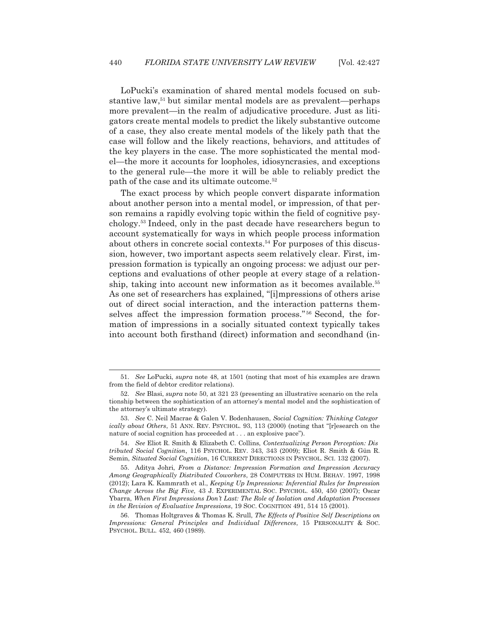LoPucki's examination of shared mental models focused on substantive law,51 but similar mental models are as prevalent—perhaps more prevalent—in the realm of adjudicative procedure. Just as litigators create mental models to predict the likely substantive outcome of a case, they also create mental models of the likely path that the case will follow and the likely reactions, behaviors, and attitudes of the key players in the case. The more sophisticated the mental model—the more it accounts for loopholes, idiosyncrasies, and exceptions to the general rule—the more it will be able to reliably predict the path of the case and its ultimate outcome.52

 The exact process by which people convert disparate information about another person into a mental model, or impression, of that person remains a rapidly evolving topic within the field of cognitive psychology.53 Indeed, only in the past decade have researchers begun to account systematically for ways in which people process information about others in concrete social contexts.<sup>54</sup> For purposes of this discussion, however, two important aspects seem relatively clear. First, impression formation is typically an ongoing process: we adjust our perceptions and evaluations of other people at every stage of a relationship, taking into account new information as it becomes available.<sup>55</sup> As one set of researchers has explained, "[i]mpressions of others arise out of direct social interaction, and the interaction patterns themselves affect the impression formation process." 56 Second, the formation of impressions in a socially situated context typically takes into account both firsthand (direct) information and secondhand (in-

 <sup>51.</sup> *See* LoPucki, *supra* note 48, at 1501 (noting that most of his examples are drawn from the field of debtor creditor relations).

 <sup>52.</sup> *See* Blasi, *supra* note 50, at 321 23 (presenting an illustrative scenario on the rela tionship between the sophistication of an attorney's mental model and the sophistication of the attorney's ultimate strategy).

 <sup>53.</sup> *See* C. Neil Macrae & Galen V. Bodenhausen, *Social Cognition: Thinking Categor ically about Others*, 51 ANN. REV. PSYCHOL. 93, 113 (2000) (noting that "[r]esearch on the nature of social cognition has proceeded at . . . an explosive pace").

 <sup>54.</sup> *See* Eliot R. Smith & Elizabeth C. Collins, *Contextualizing Person Perception: Dis tributed Social Cognition*, 116 PSYCHOL. REV. 343, 343 (2009); Eliot R. Smith & Gün R. Semin, *Situated Social Cognition*, 16 CURRENT DIRECTIONS IN PSYCHOL. SCI. 132 (2007).

 <sup>55.</sup> Aditya Johri, *From a Distance: Impression Formation and Impression Accuracy Among Geographically Distributed Coworkers*, 28 COMPUTERS IN HUM. BEHAV. 1997, 1998 (2012); Lara K. Kammrath et al., *Keeping Up Impressions: Inferential Rules for Impression Change Across the Big Five*, 43 J. EXPERIMENTAL SOC. PSYCHOL. 450, 450 (2007); Oscar Ybarra, *When First Impressions Don't Last: The Role of Isolation and Adaptation Processes in the Revision of Evaluative Impressions*, 19 SOC. COGNITION 491, 514 15 (2001).

 <sup>56.</sup> Thomas Holtgraves & Thomas K. Srull, *The Effects of Positive Self Descriptions on Impressions: General Principles and Individual Differences*, 15 PERSONALITY & SOC. PSYCHOL. BULL. 452, 460 (1989).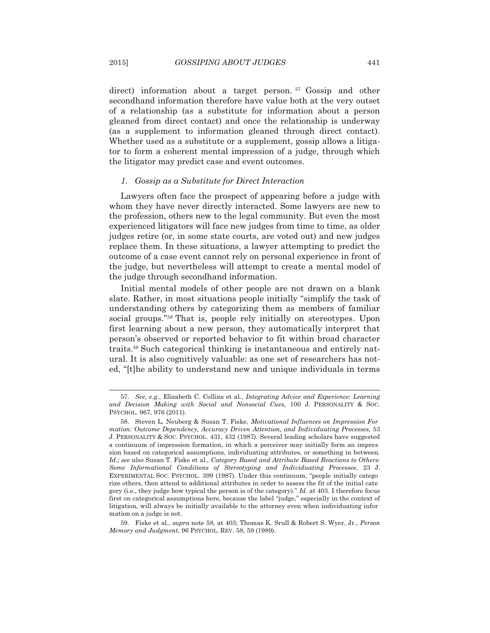direct) information about a target person.<sup>57</sup> Gossip and other secondhand information therefore have value both at the very outset of a relationship (as a substitute for information about a person gleaned from direct contact) and once the relationship is underway (as a supplement to information gleaned through direct contact). Whether used as a substitute or a supplement, gossip allows a litigator to form a coherent mental impression of a judge, through which the litigator may predict case and event outcomes.

### *1. Gossip as a Substitute for Direct Interaction*

 Lawyers often face the prospect of appearing before a judge with whom they have never directly interacted. Some lawyers are new to the profession, others new to the legal community. But even the most experienced litigators will face new judges from time to time, as older judges retire (or, in some state courts, are voted out) and new judges replace them. In these situations, a lawyer attempting to predict the outcome of a case event cannot rely on personal experience in front of the judge, but nevertheless will attempt to create a mental model of the judge through secondhand information.

 Initial mental models of other people are not drawn on a blank slate. Rather, in most situations people initially "simplify the task of understanding others by categorizing them as members of familiar social groups."58 That is, people rely initially on stereotypes. Upon first learning about a new person, they automatically interpret that person's observed or reported behavior to fit within broad character traits.59 Such categorical thinking is instantaneous and entirely natural. It is also cognitively valuable: as one set of researchers has noted, "[t]he ability to understand new and unique individuals in terms

 <sup>57.</sup> *See, e.g*., Elizabeth C. Collins et al., *Integrating Advice and Experience: Learning and Decision Making with Social and Nonsocial Cues*, 100 J. PERSONALITY & SOC. PSYCHOL. 967, 976 (2011).

 <sup>58.</sup> Steven L. Neuberg & Susan T. Fiske, *Motivational Influences on Impression For mation: Outcome Dependency, Accuracy Driven Attention, and Individuating Processes,* 53 J. PERSONALITY & SOC. PSYCHOL. 431, 432 (1987). Several leading scholars have suggested a continuum of impression formation, in which a perceiver may initially form an impres sion based on categorical assumptions, individuating attributes, or something in between. *Id.; see also* Susan T. Fiske et al., *Category Based and Attribute Based Reactions to Others: Some Informational Conditions of Stereotyping and Individuating Processes*, 23 J. EXPERIMENTAL SOC. PSYCHOL. 399 (1987). Under this continuum, "people initially catego rize others, then attend to additional attributes in order to assess the fit of the initial cate gory (i.e., they judge how typical the person is of the category)." *Id.* at 403. I therefore focus first on categorical assumptions here, because the label "judge," especially in the context of litigation, will always be initially available to the attorney even when individuating infor mation on a judge is not.

 <sup>59.</sup> Fiske et al., *supra* note 58, at 403; Thomas K. Srull & Robert S. Wyer, Jr., *Person Memory and Judgment*, 96 PSYCHOL. REV. 58, 59 (1989).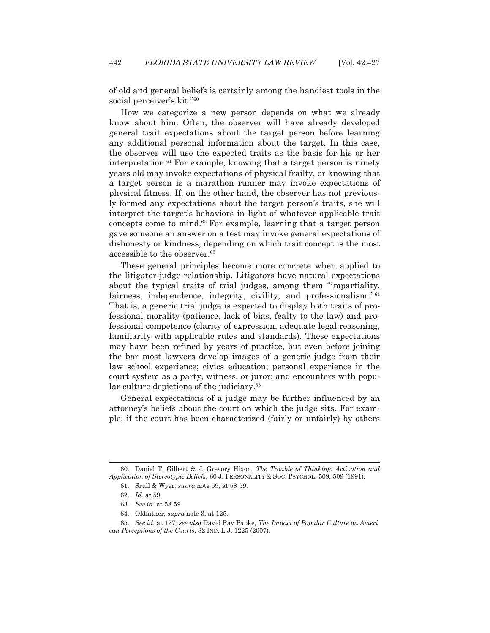of old and general beliefs is certainly among the handiest tools in the social perceiver's kit."60

 How we categorize a new person depends on what we already know about him. Often, the observer will have already developed general trait expectations about the target person before learning any additional personal information about the target. In this case, the observer will use the expected traits as the basis for his or her interpretation.<sup>61</sup> For example, knowing that a target person is ninety years old may invoke expectations of physical frailty, or knowing that a target person is a marathon runner may invoke expectations of physical fitness. If, on the other hand, the observer has not previously formed any expectations about the target person's traits, she will interpret the target's behaviors in light of whatever applicable trait concepts come to mind.62 For example, learning that a target person gave someone an answer on a test may invoke general expectations of dishonesty or kindness, depending on which trait concept is the most accessible to the observer.<sup>63</sup>

 These general principles become more concrete when applied to the litigator-judge relationship. Litigators have natural expectations about the typical traits of trial judges, among them "impartiality, fairness, independence, integrity, civility, and professionalism."<sup>64</sup> That is, a generic trial judge is expected to display both traits of professional morality (patience, lack of bias, fealty to the law) and professional competence (clarity of expression, adequate legal reasoning, familiarity with applicable rules and standards). These expectations may have been refined by years of practice, but even before joining the bar most lawyers develop images of a generic judge from their law school experience; civics education; personal experience in the court system as a party, witness, or juror; and encounters with popular culture depictions of the judiciary.<sup>65</sup>

 General expectations of a judge may be further influenced by an attorney's beliefs about the court on which the judge sits. For example, if the court has been characterized (fairly or unfairly) by others

 <sup>60.</sup> Daniel T. Gilbert & J. Gregory Hixon, *The Trouble of Thinking: Activation and Application of Stereotypic Beliefs*, 60 J. PERSONALITY & SOC. PSYCHOL. 509, 509 (1991).

 <sup>61.</sup> Srull & Wyer, *supra* note 59, at 58 59.

 <sup>62.</sup> *Id.* at 59.

 <sup>63.</sup> *See id.* at 58 59.

 <sup>64.</sup> Oldfather, *supra* note 3, at 125.

 <sup>65.</sup> *See id*. at 127; *see also* David Ray Papke, *The Impact of Popular Culture on Ameri can Perceptions of the Courts*, 82 IND. L.J. 1225 (2007).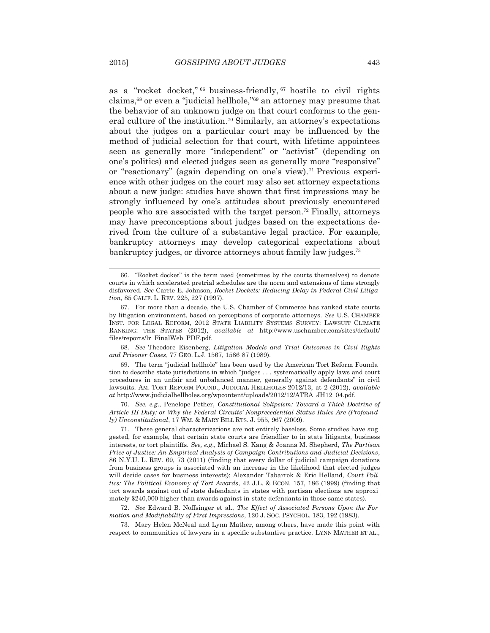as a "rocket docket," 66 business-friendly, 67 hostile to civil rights claims,68 or even a "judicial hellhole,"69 an attorney may presume that the behavior of an unknown judge on that court conforms to the general culture of the institution.70 Similarly, an attorney's expectations about the judges on a particular court may be influenced by the method of judicial selection for that court, with lifetime appointees seen as generally more "independent" or "activist" (depending on one's politics) and elected judges seen as generally more "responsive" or "reactionary" (again depending on one's view).<sup>71</sup> Previous experience with other judges on the court may also set attorney expectations about a new judge: studies have shown that first impressions may be strongly influenced by one's attitudes about previously encountered people who are associated with the target person.72 Finally, attorneys may have preconceptions about judges based on the expectations derived from the culture of a substantive legal practice. For example, bankruptcy attorneys may develop categorical expectations about bankruptcy judges, or divorce attorneys about family law judges.<sup>73</sup>

 68. *See* Theodore Eisenberg, *Litigation Models and Trial Outcomes in Civil Rights and Prisoner Cases*, 77 GEO. L.J. 1567, 1586 87 (1989).

 69. The term "judicial hellhole" has been used by the American Tort Reform Founda tion to describe state jurisdictions in which "judges . . . systematically apply laws and court procedures in an unfair and unbalanced manner, generally against defendants" in civil lawsuits. AM. TORT REFORM FOUND., JUDICIAL HELLHOLES 2012/13, at 2 (2012), *available at* http://www.judicialhellholes.org/wpcontent/uploads/2012/12/ATRA JH12 04.pdf.

 70. *See, e.g*., Penelope Pether, *Constitutional Solipsism: Toward a Thick Doctrine of Article III Duty; or Why the Federal Circuits' Nonprecedential Status Rules Are (Profound ly) Unconstitutional*, 17 WM.&MARY BILL RTS. J. 955, 967 (2009).

 71. These general characterizations are not entirely baseless. Some studies have sug gested, for example, that certain state courts are friendlier to in state litigants, business interests, or tort plaintiffs. *See, e.g*., Michael S. Kang & Joanna M. Shepherd, *The Partisan Price of Justice: An Empirical Analysis of Campaign Contributions and Judicial Decisions*, 86 N.Y.U. L. REV. 69, 73 (2011) (finding that every dollar of judicial campaign donations from business groups is associated with an increase in the likelihood that elected judges will decide cases for business interests); Alexander Tabarrok & Eric Helland, *Court Poli tics: The Political Economy of Tort Awards*, 42 J.L. & ECON. 157, 186 (1999) (finding that tort awards against out of state defendants in states with partisan elections are approxi mately \$240,000 higher than awards against in state defendants in those same states).

 72. *See* Edward B. Noffsinger et al., *The Effect of Associated Persons Upon the For mation and Modifiability of First Impressions*, 120 J. SOC. PSYCHOL. 183, 192 (1983).

 73. Mary Helen McNeal and Lynn Mather, among others, have made this point with respect to communities of lawyers in a specific substantive practice. LYNN MATHER ET AL.,

 <sup>66. &</sup>quot;Rocket docket" is the term used (sometimes by the courts themselves) to denote courts in which accelerated pretrial schedules are the norm and extensions of time strongly disfavored. *See* Carrie E. Johnson, *Rocket Dockets: Reducing Delay in Federal Civil Litiga tion*, 85 CALIF. L. REV. 225, 227 (1997).

 <sup>67.</sup> For more than a decade, the U.S. Chamber of Commerce has ranked state courts by litigation environment, based on perceptions of corporate attorneys. *See* U.S. CHAMBER INST. FOR LEGAL REFORM, 2012 STATE LIABILITY SYSTEMS SURVEY: LAWSUIT CLIMATE RANKING: THE STATES (2012), *available at* http://www.uschamber.com/sites/default/ files/reports/lr FinalWeb PDF.pdf.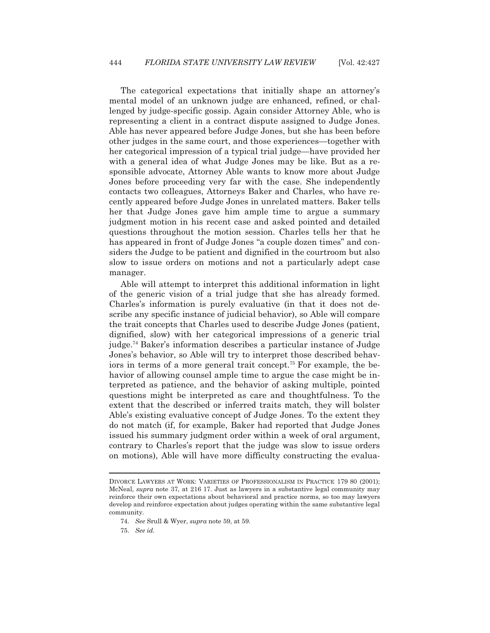The categorical expectations that initially shape an attorney's mental model of an unknown judge are enhanced, refined, or challenged by judge-specific gossip. Again consider Attorney Able, who is representing a client in a contract dispute assigned to Judge Jones. Able has never appeared before Judge Jones, but she has been before other judges in the same court, and those experiences—together with her categorical impression of a typical trial judge—have provided her with a general idea of what Judge Jones may be like. But as a responsible advocate, Attorney Able wants to know more about Judge Jones before proceeding very far with the case. She independently contacts two colleagues, Attorneys Baker and Charles, who have recently appeared before Judge Jones in unrelated matters. Baker tells her that Judge Jones gave him ample time to argue a summary judgment motion in his recent case and asked pointed and detailed questions throughout the motion session. Charles tells her that he has appeared in front of Judge Jones "a couple dozen times" and considers the Judge to be patient and dignified in the courtroom but also slow to issue orders on motions and not a particularly adept case manager.

 Able will attempt to interpret this additional information in light of the generic vision of a trial judge that she has already formed. Charles's information is purely evaluative (in that it does not describe any specific instance of judicial behavior), so Able will compare the trait concepts that Charles used to describe Judge Jones (patient, dignified, slow) with her categorical impressions of a generic trial judge.74 Baker's information describes a particular instance of Judge Jones's behavior, so Able will try to interpret those described behaviors in terms of a more general trait concept.75 For example, the behavior of allowing counsel ample time to argue the case might be interpreted as patience, and the behavior of asking multiple, pointed questions might be interpreted as care and thoughtfulness. To the extent that the described or inferred traits match, they will bolster Able's existing evaluative concept of Judge Jones. To the extent they do not match (if, for example, Baker had reported that Judge Jones issued his summary judgment order within a week of oral argument, contrary to Charles's report that the judge was slow to issue orders on motions), Able will have more difficulty constructing the evalua-

DIVORCE LAWYERS AT WORK: VARIETIES OF PROFESSIONALISM IN PRACTICE 179 80 (2001); McNeal, *supra* note 37, at 216 17. Just as lawyers in a substantive legal community may reinforce their own expectations about behavioral and practice norms, so too may lawyers develop and reinforce expectation about judges operating within the same substantive legal community.

 <sup>74.</sup> *See* Srull & Wyer, *supra* note 59, at 59.

 <sup>75.</sup> *See id.*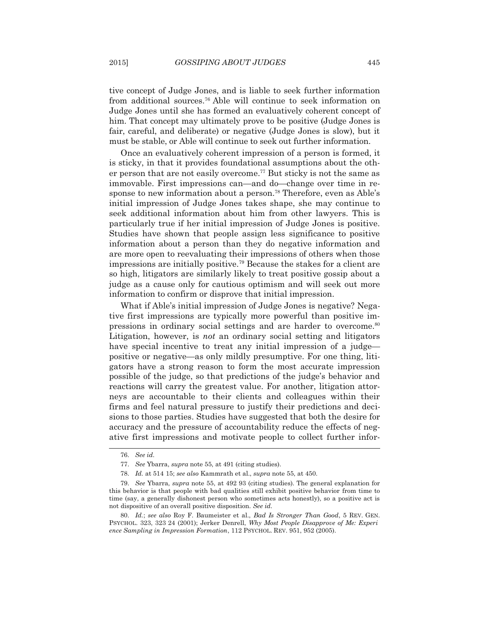tive concept of Judge Jones, and is liable to seek further information from additional sources.76 Able will continue to seek information on Judge Jones until she has formed an evaluatively coherent concept of him. That concept may ultimately prove to be positive (Judge Jones is fair, careful, and deliberate) or negative (Judge Jones is slow), but it must be stable, or Able will continue to seek out further information.

Once an evaluatively coherent impression of a person is formed, it is sticky, in that it provides foundational assumptions about the other person that are not easily overcome.77 But sticky is not the same as immovable. First impressions can—and do—change over time in response to new information about a person.<sup>78</sup> Therefore, even as Able's initial impression of Judge Jones takes shape, she may continue to seek additional information about him from other lawyers. This is particularly true if her initial impression of Judge Jones is positive. Studies have shown that people assign less significance to positive information about a person than they do negative information and are more open to reevaluating their impressions of others when those impressions are initially positive.79 Because the stakes for a client are so high, litigators are similarly likely to treat positive gossip about a judge as a cause only for cautious optimism and will seek out more information to confirm or disprove that initial impression.

 What if Able's initial impression of Judge Jones is negative? Negative first impressions are typically more powerful than positive impressions in ordinary social settings and are harder to overcome.<sup>80</sup> Litigation, however, is *not* an ordinary social setting and litigators have special incentive to treat any initial impression of a judge positive or negative—as only mildly presumptive. For one thing, litigators have a strong reason to form the most accurate impression possible of the judge, so that predictions of the judge's behavior and reactions will carry the greatest value. For another, litigation attorneys are accountable to their clients and colleagues within their firms and feel natural pressure to justify their predictions and decisions to those parties. Studies have suggested that both the desire for accuracy and the pressure of accountability reduce the effects of negative first impressions and motivate people to collect further infor-

 $\overline{a}$ 

 80. *Id.*; *see also* Roy F. Baumeister et al., *Bad Is Stronger Than Good*, 5 REV. GEN. PSYCHOL. 323, 323 24 (2001); Jerker Denrell, *Why Most People Disapprove of Me: Experi ence Sampling in Impression Formation*, 112 PSYCHOL. REV. 951, 952 (2005).

 <sup>76.</sup> *See id.*

 <sup>77.</sup> *See* Ybarra, *supra* note 55, at 491 (citing studies).

 <sup>78.</sup> *Id.* at 514 15; *see also* Kammrath et al., *supra* note 55, at 450.

 <sup>79.</sup> *See* Ybarra, *supra* note 55, at 492 93 (citing studies). The general explanation for this behavior is that people with bad qualities still exhibit positive behavior from time to time (say, a generally dishonest person who sometimes acts honestly), so a positive act is not dispositive of an overall positive disposition. *See id.*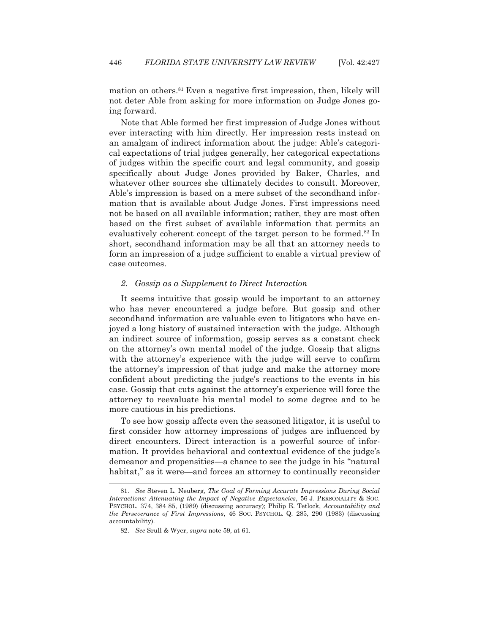mation on others.<sup>81</sup> Even a negative first impression, then, likely will not deter Able from asking for more information on Judge Jones going forward.

 Note that Able formed her first impression of Judge Jones without ever interacting with him directly. Her impression rests instead on an amalgam of indirect information about the judge: Able's categorical expectations of trial judges generally, her categorical expectations of judges within the specific court and legal community, and gossip specifically about Judge Jones provided by Baker, Charles, and whatever other sources she ultimately decides to consult. Moreover, Able's impression is based on a mere subset of the secondhand information that is available about Judge Jones. First impressions need not be based on all available information; rather, they are most often based on the first subset of available information that permits an evaluatively coherent concept of the target person to be formed.82 In short, secondhand information may be all that an attorney needs to form an impression of a judge sufficient to enable a virtual preview of case outcomes.

## *2. Gossip as a Supplement to Direct Interaction*

 It seems intuitive that gossip would be important to an attorney who has never encountered a judge before. But gossip and other secondhand information are valuable even to litigators who have enjoyed a long history of sustained interaction with the judge. Although an indirect source of information, gossip serves as a constant check on the attorney's own mental model of the judge. Gossip that aligns with the attorney's experience with the judge will serve to confirm the attorney's impression of that judge and make the attorney more confident about predicting the judge's reactions to the events in his case. Gossip that cuts against the attorney's experience will force the attorney to reevaluate his mental model to some degree and to be more cautious in his predictions.

 To see how gossip affects even the seasoned litigator, it is useful to first consider how attorney impressions of judges are influenced by direct encounters. Direct interaction is a powerful source of information. It provides behavioral and contextual evidence of the judge's demeanor and propensities—a chance to see the judge in his "natural habitat," as it were—and forces an attorney to continually reconsider

 <sup>81.</sup> *See* Steven L. Neuberg, *The Goal of Forming Accurate Impressions During Social Interactions: Attenuating the Impact of Negative Expectancies*, 56 J. PERSONALITY & SOC. PSYCHOL. 374, 384 85, (1989) (discussing accuracy); Philip E. Tetlock, *Accountability and the Perseverance of First Impressions*, 46 SOC. PSYCHOL. Q. 285, 290 (1983) (discussing accountability).

 <sup>82.</sup> *See* Srull & Wyer, *supra* note 59*,* at 61.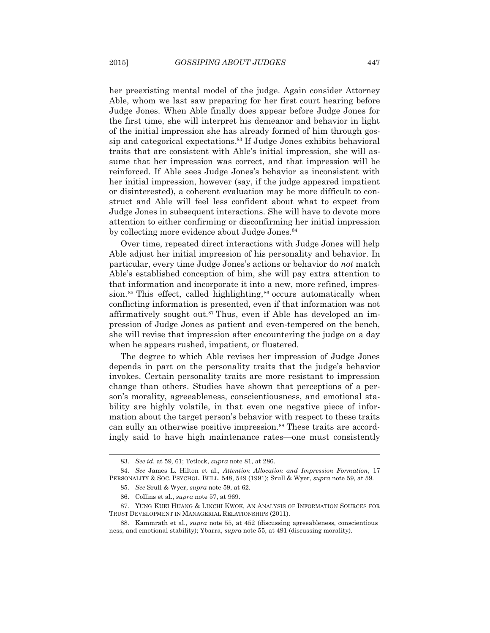her preexisting mental model of the judge. Again consider Attorney Able, whom we last saw preparing for her first court hearing before Judge Jones. When Able finally does appear before Judge Jones for the first time, she will interpret his demeanor and behavior in light of the initial impression she has already formed of him through gossip and categorical expectations.83 If Judge Jones exhibits behavioral traits that are consistent with Able's initial impression, she will assume that her impression was correct, and that impression will be reinforced. If Able sees Judge Jones's behavior as inconsistent with her initial impression, however (say, if the judge appeared impatient or disinterested), a coherent evaluation may be more difficult to construct and Able will feel less confident about what to expect from Judge Jones in subsequent interactions. She will have to devote more attention to either confirming or disconfirming her initial impression by collecting more evidence about Judge Jones.<sup>84</sup>

 Over time, repeated direct interactions with Judge Jones will help Able adjust her initial impression of his personality and behavior. In particular, every time Judge Jones's actions or behavior do *not* match Able's established conception of him, she will pay extra attention to that information and incorporate it into a new, more refined, impression.<sup>85</sup> This effect, called highlighting, $86$  occurs automatically when conflicting information is presented, even if that information was not affirmatively sought out.<sup>87</sup> Thus, even if Able has developed an impression of Judge Jones as patient and even-tempered on the bench, she will revise that impression after encountering the judge on a day when he appears rushed, impatient, or flustered.

 The degree to which Able revises her impression of Judge Jones depends in part on the personality traits that the judge's behavior invokes. Certain personality traits are more resistant to impression change than others. Studies have shown that perceptions of a person's morality, agreeableness, conscientiousness, and emotional stability are highly volatile, in that even one negative piece of information about the target person's behavior with respect to these traits can sully an otherwise positive impression.<sup>88</sup> These traits are accordingly said to have high maintenance rates—one must consistently

 <sup>83.</sup> *See id*. at 59, 61; Tetlock, *supra* note 81, at 286.

 <sup>84.</sup> *See* James L. Hilton et al., *Attention Allocation and Impression Formation*, 17 PERSONALITY & SOC. PSYCHOL. BULL. 548, 549 (1991); Srull & Wyer, *supra* note 59, at 59.

 <sup>85.</sup> *See* Srull & Wyer, *supra* note 59, at 62.

 <sup>86.</sup> Collins et al., *supra* note 57, at 969.

 <sup>87.</sup> YUNG KUEI HUANG & LINCHI KWOK, AN ANALYSIS OF INFORMATION SOURCES FOR TRUST DEVELOPMENT IN MANAGERIAL RELATIONSHIPS (2011).

 <sup>88.</sup> Kammrath et al., *supra* note 55, at 452 (discussing agreeableness, conscientious ness, and emotional stability); Ybarra, *supra* note 55, at 491 (discussing morality).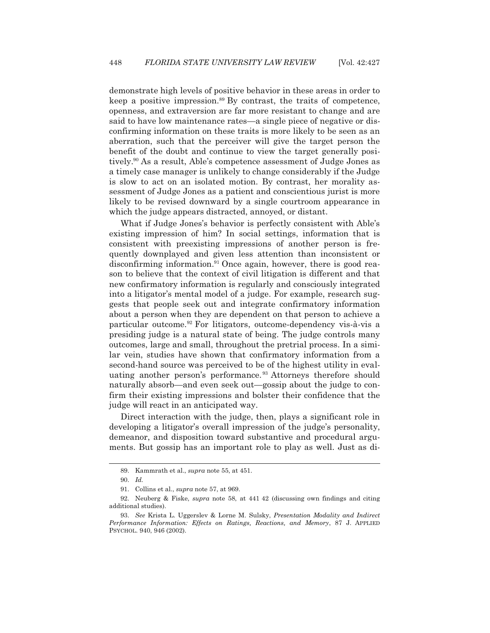demonstrate high levels of positive behavior in these areas in order to keep a positive impression.<sup>89</sup> By contrast, the traits of competence, openness, and extraversion are far more resistant to change and are said to have low maintenance rates—a single piece of negative or disconfirming information on these traits is more likely to be seen as an aberration, such that the perceiver will give the target person the benefit of the doubt and continue to view the target generally positively.90 As a result, Able's competence assessment of Judge Jones as a timely case manager is unlikely to change considerably if the Judge is slow to act on an isolated motion. By contrast, her morality assessment of Judge Jones as a patient and conscientious jurist is more likely to be revised downward by a single courtroom appearance in which the judge appears distracted, annoyed, or distant.

 What if Judge Jones's behavior is perfectly consistent with Able's existing impression of him? In social settings, information that is consistent with preexisting impressions of another person is frequently downplayed and given less attention than inconsistent or disconfirming information.<sup>91</sup> Once again, however, there is good reason to believe that the context of civil litigation is different and that new confirmatory information is regularly and consciously integrated into a litigator's mental model of a judge. For example, research suggests that people seek out and integrate confirmatory information about a person when they are dependent on that person to achieve a particular outcome.92 For litigators, outcome-dependency vis-à-vis a presiding judge is a natural state of being. The judge controls many outcomes, large and small, throughout the pretrial process. In a similar vein, studies have shown that confirmatory information from a second-hand source was perceived to be of the highest utility in evaluating another person's performance. 93 Attorneys therefore should naturally absorb—and even seek out—gossip about the judge to confirm their existing impressions and bolster their confidence that the judge will react in an anticipated way.

 Direct interaction with the judge, then, plays a significant role in developing a litigator's overall impression of the judge's personality, demeanor, and disposition toward substantive and procedural arguments. But gossip has an important role to play as well. Just as di-

 <sup>89.</sup> Kammrath et al., *supra* note 55, at 451.

 <sup>90.</sup> *Id.*

 <sup>91.</sup> Collins et al., *supra* note 57, at 969.

 <sup>92.</sup> Neuberg & Fiske, *supra* note 58, at 441 42 (discussing own findings and citing additional studies).

 <sup>93.</sup> *See* Krista L. Uggerslev & Lorne M. Sulsky, *Presentation Modality and Indirect Performance Information: Effects on Ratings, Reactions, and Memory*, 87 J. APPLIED PSYCHOL. 940, 946 (2002).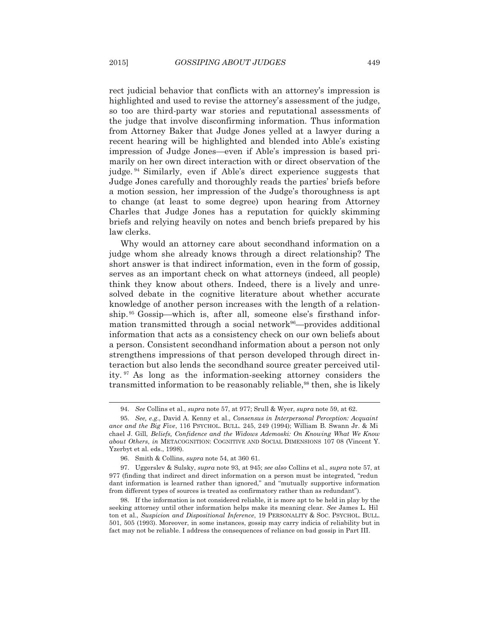rect judicial behavior that conflicts with an attorney's impression is highlighted and used to revise the attorney's assessment of the judge, so too are third-party war stories and reputational assessments of the judge that involve disconfirming information. Thus information from Attorney Baker that Judge Jones yelled at a lawyer during a recent hearing will be highlighted and blended into Able's existing impression of Judge Jones—even if Able's impression is based primarily on her own direct interaction with or direct observation of the judge. 94 Similarly, even if Able's direct experience suggests that Judge Jones carefully and thoroughly reads the parties' briefs before a motion session, her impression of the Judge's thoroughness is apt to change (at least to some degree) upon hearing from Attorney Charles that Judge Jones has a reputation for quickly skimming briefs and relying heavily on notes and bench briefs prepared by his law clerks.

 Why would an attorney care about secondhand information on a judge whom she already knows through a direct relationship? The short answer is that indirect information, even in the form of gossip, serves as an important check on what attorneys (indeed, all people) think they know about others. Indeed, there is a lively and unresolved debate in the cognitive literature about whether accurate knowledge of another person increases with the length of a relationship. 95 Gossip—which is, after all, someone else's firsthand information transmitted through a social network $96$ —provides additional information that acts as a consistency check on our own beliefs about a person. Consistent secondhand information about a person not only strengthens impressions of that person developed through direct interaction but also lends the secondhand source greater perceived utility. 97 As long as the information-seeking attorney considers the transmitted information to be reasonably reliable,<sup>98</sup> then, she is likely

 <sup>94.</sup> *See* Collins et al., *supra* note 57, at 977; Srull & Wyer, *supra* note 59, at 62.

 <sup>95.</sup> *See, e.g*., David A. Kenny et al., *Consensus in Interpersonal Perception: Acquaint ance and the Big Five*, 116 PSYCHOL. BULL. 245, 249 (1994); William B. Swann Jr. & Mi chael J. Gill, *Beliefs, Confidence and the Widows Ademoski: On Knowing What We Know about Others*, *in* METACOGNITION: COGNITIVE AND SOCIAL DIMENSIONS 107 08 (Vincent Y. Yzerbyt et al. eds., 1998).

 <sup>96.</sup> Smith & Collins, *supra* note 54, at 360 61.

 <sup>97.</sup> Uggerslev & Sulsky, *supra* note 93, at 945; *see also* Collins et al., *supra* note 57, at 977 (finding that indirect and direct information on a person must be integrated, "redun dant information is learned rather than ignored," and "mutually supportive information from different types of sources is treated as confirmatory rather than as redundant").

 <sup>98.</sup> If the information is not considered reliable, it is more apt to be held in play by the seeking attorney until other information helps make its meaning clear. *See* James L. Hil ton et al., *Suspicion and Dispositional Inference*, 19 PERSONALITY & SOC. PSYCHOL. BULL. 501, 505 (1993). Moreover, in some instances, gossip may carry indicia of reliability but in fact may not be reliable. I address the consequences of reliance on bad gossip in Part III.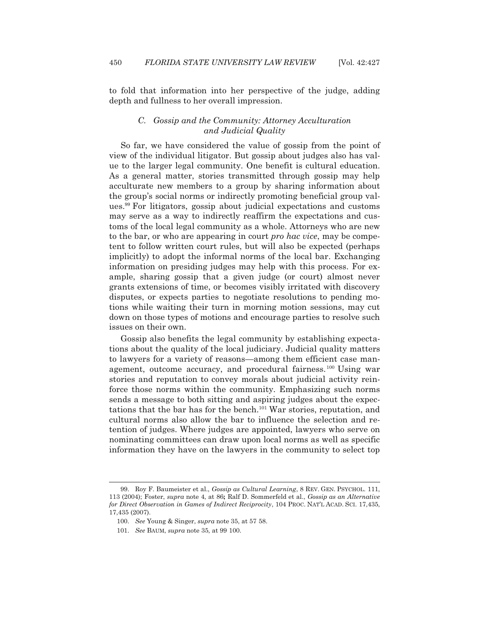l

to fold that information into her perspective of the judge, adding depth and fullness to her overall impression.

# *C. Gossip and the Community: Attorney Acculturation and Judicial Quality*

 So far, we have considered the value of gossip from the point of view of the individual litigator. But gossip about judges also has value to the larger legal community. One benefit is cultural education. As a general matter, stories transmitted through gossip may help acculturate new members to a group by sharing information about the group's social norms or indirectly promoting beneficial group values.99 For litigators, gossip about judicial expectations and customs may serve as a way to indirectly reaffirm the expectations and customs of the local legal community as a whole. Attorneys who are new to the bar, or who are appearing in court *pro hac vice*, may be competent to follow written court rules, but will also be expected (perhaps implicitly) to adopt the informal norms of the local bar. Exchanging information on presiding judges may help with this process. For example, sharing gossip that a given judge (or court) almost never grants extensions of time, or becomes visibly irritated with discovery disputes, or expects parties to negotiate resolutions to pending motions while waiting their turn in morning motion sessions, may cut down on those types of motions and encourage parties to resolve such issues on their own.

 Gossip also benefits the legal community by establishing expectations about the quality of the local judiciary. Judicial quality matters to lawyers for a variety of reasons—among them efficient case management, outcome accuracy, and procedural fairness.<sup>100</sup> Using war stories and reputation to convey morals about judicial activity reinforce those norms within the community. Emphasizing such norms sends a message to both sitting and aspiring judges about the expectations that the bar has for the bench.101 War stories, reputation, and cultural norms also allow the bar to influence the selection and retention of judges. Where judges are appointed, lawyers who serve on nominating committees can draw upon local norms as well as specific information they have on the lawyers in the community to select top

 <sup>99.</sup> Roy F. Baumeister et al., *Gossip as Cultural Learning*, 8 REV. GEN. PSYCHOL. 111, 113 (2004); Foster, *supra* note 4, at 86**;** Ralf D. Sommerfeld et al., *Gossip as an Alternative for Direct Observation in Games of Indirect Reciprocity*, 104 PROC. NAT'L ACAD. SCI. 17,435, 17,435 (2007).

 <sup>100.</sup> *See* Young & Singer, *supra* note 35, at 57 58.

 <sup>101.</sup> *See* BAUM, *supra* note 35, at 99 100.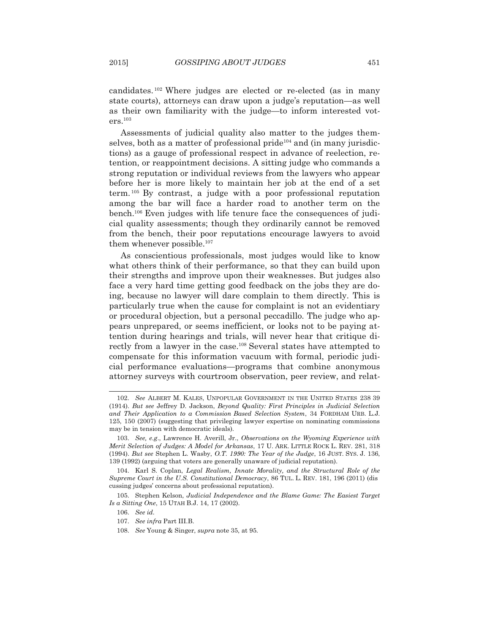candidates. 102 Where judges are elected or re-elected (as in many state courts), attorneys can draw upon a judge's reputation—as well as their own familiarity with the judge—to inform interested voters.103

 Assessments of judicial quality also matter to the judges themselves, both as a matter of professional pride<sup> $104$ </sup> and (in many jurisdictions) as a gauge of professional respect in advance of reelection, retention, or reappointment decisions. A sitting judge who commands a strong reputation or individual reviews from the lawyers who appear before her is more likely to maintain her job at the end of a set term. 105 By contrast, a judge with a poor professional reputation among the bar will face a harder road to another term on the bench.106 Even judges with life tenure face the consequences of judicial quality assessments; though they ordinarily cannot be removed from the bench, their poor reputations encourage lawyers to avoid them whenever possible.<sup>107</sup>

 As conscientious professionals, most judges would like to know what others think of their performance, so that they can build upon their strengths and improve upon their weaknesses. But judges also face a very hard time getting good feedback on the jobs they are doing, because no lawyer will dare complain to them directly. This is particularly true when the cause for complaint is not an evidentiary or procedural objection, but a personal peccadillo. The judge who appears unprepared, or seems inefficient, or looks not to be paying attention during hearings and trials, will never hear that critique directly from a lawyer in the case.<sup>108</sup> Several states have attempted to compensate for this information vacuum with formal, periodic judicial performance evaluations—programs that combine anonymous attorney surveys with courtroom observation, peer review, and relat-

 <sup>102.</sup> *See* ALBERT M. KALES, UNPOPULAR GOVERNMENT IN THE UNITED STATES 238 39 (1914). *But see* Jeffrey D. Jackson, *Beyond Quality: First Principles in Judicial Selection and Their Application to a Commission Based Selection System*, 34 FORDHAM URB. L.J. 125, 150 (2007) (suggesting that privileging lawyer expertise on nominating commissions may be in tension with democratic ideals).

 <sup>103.</sup> *See, e.g*., Lawrence H. Averill, Jr., *Observations on the Wyoming Experience with Merit Selection of Judges: A Model for Arkansas*, 17 U. ARK. LITTLE ROCK L. REV. 281, 318 (1994). *But see* Stephen L. Wasby, *O.T. 1990: The Year of the Judge*, 16 JUST. SYS. J. 136, 139 (1992) (arguing that voters are generally unaware of judicial reputation).

 <sup>104.</sup> Karl S. Coplan, *Legal Realism, Innate Morality, and the Structural Role of the Supreme Court in the U.S. Constitutional Democracy*, 86 TUL. L. REV. 181, 196 (2011) (dis cussing judges' concerns about professional reputation).

 <sup>105.</sup> Stephen Kelson, *Judicial Independence and the Blame Game: The Easiest Target Is a Sitting One*, 15 UTAH B.J. 14, 17 (2002).

 <sup>106.</sup> *See id.*

 <sup>107.</sup> *See infra* Part III.B.

 <sup>108.</sup> *See* Young & Singer, *supra* note 35, at 95.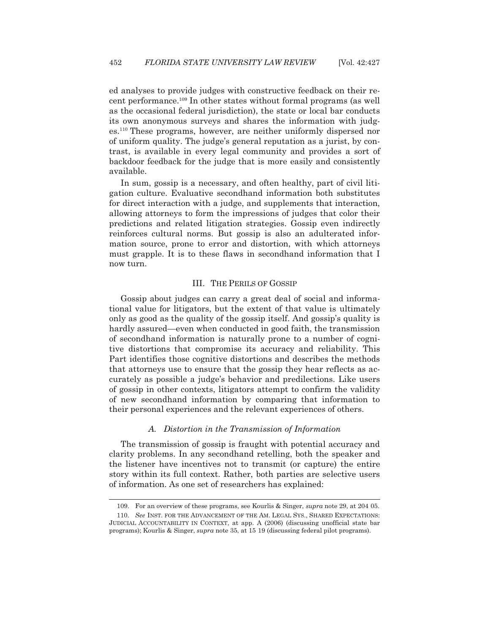ed analyses to provide judges with constructive feedback on their recent performance.109 In other states without formal programs (as well as the occasional federal jurisdiction), the state or local bar conducts its own anonymous surveys and shares the information with judges.110 These programs, however, are neither uniformly dispersed nor of uniform quality. The judge's general reputation as a jurist, by contrast, is available in every legal community and provides a sort of backdoor feedback for the judge that is more easily and consistently available.

 In sum, gossip is a necessary, and often healthy, part of civil litigation culture. Evaluative secondhand information both substitutes for direct interaction with a judge, and supplements that interaction, allowing attorneys to form the impressions of judges that color their predictions and related litigation strategies. Gossip even indirectly reinforces cultural norms. But gossip is also an adulterated information source, prone to error and distortion, with which attorneys must grapple. It is to these flaws in secondhand information that I now turn.

#### III. THE PERILS OF GOSSIP

 Gossip about judges can carry a great deal of social and informational value for litigators, but the extent of that value is ultimately only as good as the quality of the gossip itself. And gossip's quality is hardly assured—even when conducted in good faith, the transmission of secondhand information is naturally prone to a number of cognitive distortions that compromise its accuracy and reliability. This Part identifies those cognitive distortions and describes the methods that attorneys use to ensure that the gossip they hear reflects as accurately as possible a judge's behavior and predilections. Like users of gossip in other contexts, litigators attempt to confirm the validity of new secondhand information by comparing that information to their personal experiences and the relevant experiences of others.

#### *A. Distortion in the Transmission of Information*

 The transmission of gossip is fraught with potential accuracy and clarity problems. In any secondhand retelling, both the speaker and the listener have incentives not to transmit (or capture) the entire story within its full context. Rather, both parties are selective users of information. As one set of researchers has explained:

 <sup>109.</sup> For an overview of these programs, see Kourlis & Singer, *supra* note 29, at 204 05.

 <sup>110.</sup> *See* INST. FOR THE ADVANCEMENT OF THE AM. LEGAL SYS., SHARED EXPECTATIONS: JUDICIAL ACCOUNTABILITY IN CONTEXT, at app. A (2006) (discussing unofficial state bar programs); Kourlis & Singer, *supra* note 35, at 15 19 (discussing federal pilot programs).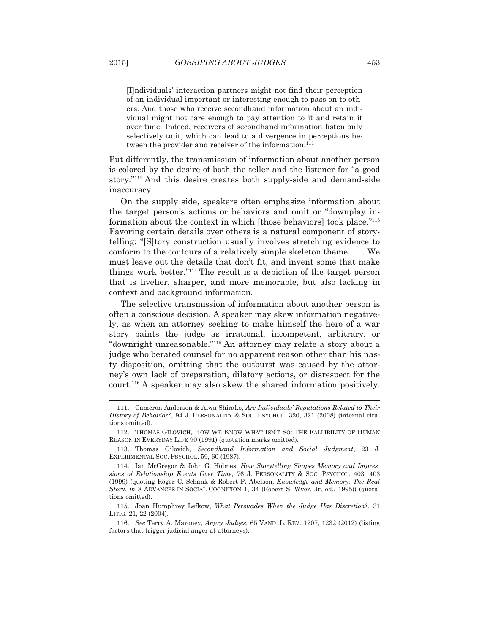[I]ndividuals' interaction partners might not find their perception of an individual important or interesting enough to pass on to others. And those who receive secondhand information about an individual might not care enough to pay attention to it and retain it over time. Indeed, receivers of secondhand information listen only selectively to it, which can lead to a divergence in perceptions between the provider and receiver of the information.<sup>111</sup>

Put differently, the transmission of information about another person is colored by the desire of both the teller and the listener for "a good story."112 And this desire creates both supply-side and demand-side inaccuracy.

 On the supply side, speakers often emphasize information about the target person's actions or behaviors and omit or "downplay information about the context in which [those behaviors] took place."113 Favoring certain details over others is a natural component of storytelling: "[S]tory construction usually involves stretching evidence to conform to the contours of a relatively simple skeleton theme. . . . We must leave out the details that don't fit, and invent some that make things work better."114 The result is a depiction of the target person that is livelier, sharper, and more memorable, but also lacking in context and background information.

 The selective transmission of information about another person is often a conscious decision. A speaker may skew information negatively, as when an attorney seeking to make himself the hero of a war story paints the judge as irrational, incompetent, arbitrary, or "downright unreasonable."115 An attorney may relate a story about a judge who berated counsel for no apparent reason other than his nasty disposition, omitting that the outburst was caused by the attorney's own lack of preparation, dilatory actions, or disrespect for the court.116 A speaker may also skew the shared information positively.

 <sup>111.</sup> Cameron Anderson & Aiwa Shirako, *Are Individuals' Reputations Related to Their History of Behavior?*, 94 J. PERSONALITY & SOC. PSYCHOL. 320, 321 (2008) (internal cita tions omitted).

 <sup>112.</sup> THOMAS GILOVICH, HOW WE KNOW WHAT ISN'T SO: THE FALLIBILITY OF HUMAN REASON IN EVERYDAY LIFE 90 (1991) (quotation marks omitted).

 <sup>113.</sup> Thomas Gilovich, *Secondhand Information and Social Judgment*, 23 J. EXPERIMENTAL SOC. PSYCHOL. 59, 60 (1987).

 <sup>114.</sup> Ian McGregor & John G. Holmes, *How Storytelling Shapes Memory and Impres sions of Relationship Events Over Time*, 76 J. PERSONALITY & SOC. PSYCHOL. 403, 403 (1999) (quoting Roger C. Schank & Robert P. Abelson, *Knowledge and Memory: The Real Story*, *in* 8 ADVANCES IN SOCIAL COGNITION 1, 34 (Robert S. Wyer, Jr. ed., 1995)) (quota tions omitted).

 <sup>115.</sup> Joan Humphrey Lefkow, *What Persuades When the Judge Has Discretion?*, 31 LITIG. 21, 22 (2004).

 <sup>116.</sup> *See* Terry A. Maroney, *Angry Judges*, 65 VAND. L. REV. 1207, 1232 (2012) (listing factors that trigger judicial anger at attorneys).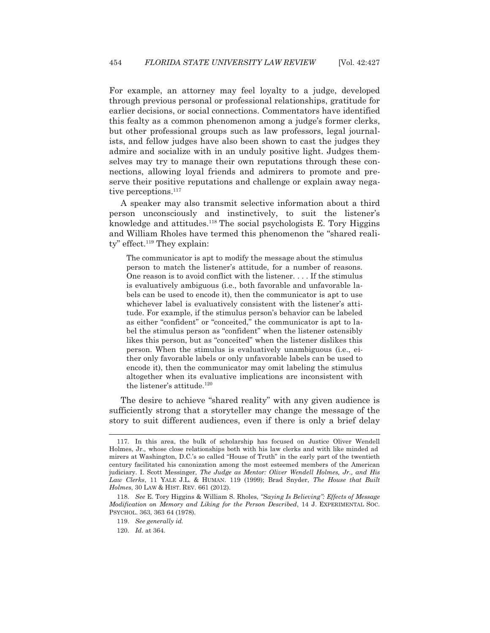For example, an attorney may feel loyalty to a judge, developed through previous personal or professional relationships, gratitude for earlier decisions, or social connections. Commentators have identified this fealty as a common phenomenon among a judge's former clerks, but other professional groups such as law professors, legal journalists, and fellow judges have also been shown to cast the judges they admire and socialize with in an unduly positive light. Judges themselves may try to manage their own reputations through these connections, allowing loyal friends and admirers to promote and preserve their positive reputations and challenge or explain away negative perceptions.<sup>117</sup>

 A speaker may also transmit selective information about a third person unconsciously and instinctively, to suit the listener's knowledge and attitudes.118 The social psychologists E. Tory Higgins and William Rholes have termed this phenomenon the "shared reali $tv$ " effect.<sup>119</sup> They explain:

The communicator is apt to modify the message about the stimulus person to match the listener's attitude, for a number of reasons. One reason is to avoid conflict with the listener. . . . If the stimulus is evaluatively ambiguous (i.e., both favorable and unfavorable labels can be used to encode it), then the communicator is apt to use whichever label is evaluatively consistent with the listener's attitude. For example, if the stimulus person's behavior can be labeled as either "confident" or "conceited," the communicator is apt to label the stimulus person as "confident" when the listener ostensibly likes this person, but as "conceited" when the listener dislikes this person. When the stimulus is evaluatively unambiguous (i.e., either only favorable labels or only unfavorable labels can be used to encode it), then the communicator may omit labeling the stimulus altogether when its evaluative implications are inconsistent with the listener's attitude.<sup>120</sup>

 The desire to achieve "shared reality" with any given audience is sufficiently strong that a storyteller may change the message of the story to suit different audiences, even if there is only a brief delay

 <sup>117.</sup> In this area, the bulk of scholarship has focused on Justice Oliver Wendell Holmes, Jr., whose close relationships both with his law clerks and with like minded ad mirers at Washington, D.C.'s so called "House of Truth" in the early part of the twentieth century facilitated his canonization among the most esteemed members of the American judiciary. I. Scott Messinger, *The Judge as Mentor: Oliver Wendell Holmes, Jr., and His Law Clerks*, 11 YALE J.L. & HUMAN. 119 (1999); Brad Snyder, *The House that Built Holmes*, 30 LAW & HIST. REV. 661 (2012).

 <sup>118.</sup> *See* E. Tory Higgins & William S. Rholes, *"Saying Is Believing": Effects of Message Modification on Memory and Liking for the Person Described*, 14 J. EXPERIMENTAL SOC. PSYCHOL. 363, 363 64 (1978).

 <sup>119.</sup> *See generally id.*

 <sup>120.</sup> *Id.* at 364.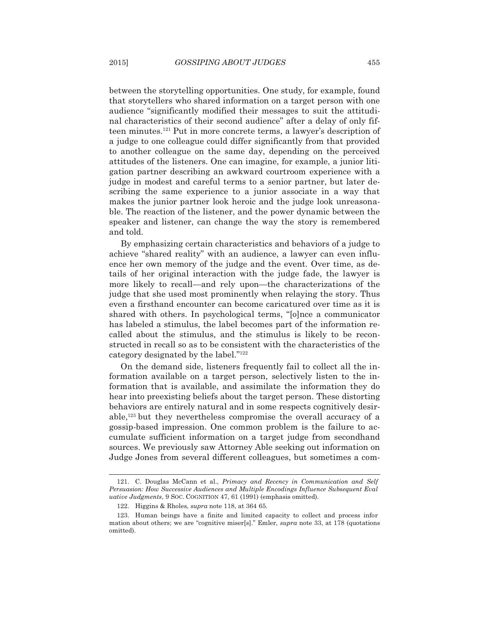between the storytelling opportunities. One study, for example, found that storytellers who shared information on a target person with one audience "significantly modified their messages to suit the attitudinal characteristics of their second audience" after a delay of only fifteen minutes.121 Put in more concrete terms, a lawyer's description of a judge to one colleague could differ significantly from that provided to another colleague on the same day, depending on the perceived attitudes of the listeners. One can imagine, for example, a junior litigation partner describing an awkward courtroom experience with a judge in modest and careful terms to a senior partner, but later describing the same experience to a junior associate in a way that makes the junior partner look heroic and the judge look unreasonable. The reaction of the listener, and the power dynamic between the speaker and listener, can change the way the story is remembered and told.

 By emphasizing certain characteristics and behaviors of a judge to achieve "shared reality" with an audience, a lawyer can even influence her own memory of the judge and the event. Over time, as details of her original interaction with the judge fade, the lawyer is more likely to recall—and rely upon—the characterizations of the judge that she used most prominently when relaying the story. Thus even a firsthand encounter can become caricatured over time as it is shared with others. In psychological terms, "[o]nce a communicator has labeled a stimulus, the label becomes part of the information recalled about the stimulus, and the stimulus is likely to be reconstructed in recall so as to be consistent with the characteristics of the category designated by the label."122

 On the demand side, listeners frequently fail to collect all the information available on a target person, selectively listen to the information that is available, and assimilate the information they do hear into preexisting beliefs about the target person. These distorting behaviors are entirely natural and in some respects cognitively desirable,123 but they nevertheless compromise the overall accuracy of a gossip-based impression. One common problem is the failure to accumulate sufficient information on a target judge from secondhand sources. We previously saw Attorney Able seeking out information on Judge Jones from several different colleagues, but sometimes a com-

 <sup>121.</sup> C. Douglas McCann et al., *Primacy and Recency in Communication and Self Persuasion: How Successive Audiences and Multiple Encodings Influence Subsequent Eval uative Judgments*, 9 SOC. COGNITION 47, 61 (1991) (emphasis omitted).

 <sup>122.</sup> Higgins & Rholes, *supra* note 118, at 364 65.

 <sup>123.</sup> Human beings have a finite and limited capacity to collect and process infor mation about others; we are "cognitive miser[s]." Emler, *supra* note 33, at 178 (quotations omitted).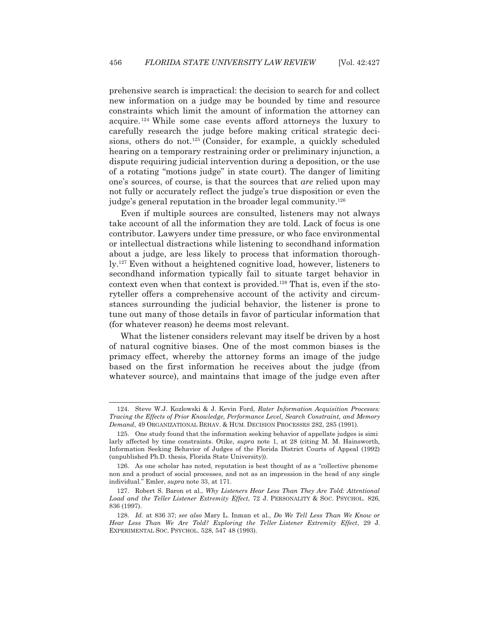prehensive search is impractical: the decision to search for and collect new information on a judge may be bounded by time and resource constraints which limit the amount of information the attorney can acquire. 124 While some case events afford attorneys the luxury to carefully research the judge before making critical strategic decisions, others do not.<sup>125</sup> (Consider, for example, a quickly scheduled hearing on a temporary restraining order or preliminary injunction, a dispute requiring judicial intervention during a deposition, or the use of a rotating "motions judge" in state court). The danger of limiting one's sources, of course, is that the sources that *are* relied upon may not fully or accurately reflect the judge's true disposition or even the judge's general reputation in the broader legal community.126

 Even if multiple sources are consulted, listeners may not always take account of all the information they are told. Lack of focus is one contributor. Lawyers under time pressure, or who face environmental or intellectual distractions while listening to secondhand information about a judge, are less likely to process that information thoroughly.127 Even without a heightened cognitive load, however, listeners to secondhand information typically fail to situate target behavior in context even when that context is provided.128 That is, even if the storyteller offers a comprehensive account of the activity and circumstances surrounding the judicial behavior, the listener is prone to tune out many of those details in favor of particular information that (for whatever reason) he deems most relevant.

 What the listener considers relevant may itself be driven by a host of natural cognitive biases. One of the most common biases is the primacy effect, whereby the attorney forms an image of the judge based on the first information he receives about the judge (from whatever source), and maintains that image of the judge even after

 <sup>124.</sup> Steve W.J. Kozlowski & J. Kevin Ford, *Rater Information Acquisition Processes: Tracing the Effects of Prior Knowledge, Performance Level, Search Constraint, and Memory Demand*, 49 ORGANIZATIONAL BEHAV.&HUM. DECISION PROCESSES 282, 285 (1991).

 <sup>125.</sup> One study found that the information seeking behavior of appellate judges is simi larly affected by time constraints. Otike, *supra* note 1, at 28 (citing M. M. Hainsworth, Information Seeking Behavior of Judges of the Florida District Courts of Appeal (1992) (unpublished Ph.D. thesis, Florida State University)).

 <sup>126.</sup> As one scholar has noted, reputation is best thought of as a "collective phenome non and a product of social processes, and not as an impression in the head of any single individual." Emler, *supra* note 33, at 171.

 <sup>127.</sup> Robert S. Baron et al., *Why Listeners Hear Less Than They Are Told: Attentional Load and the Teller Listener Extremity Effect*, 72 J. PERSONALITY & SOC. PSYCHOL. 826, 836 (1997).

 <sup>128.</sup> *Id.* at 836 37; *see also* Mary L. Inman et al., *Do We Tell Less Than We Know or Hear Less Than We Are Told? Exploring the Teller Listener Extremity Effect*, 29 J. EXPERIMENTAL SOC. PSYCHOL. 528, 547 48 (1993).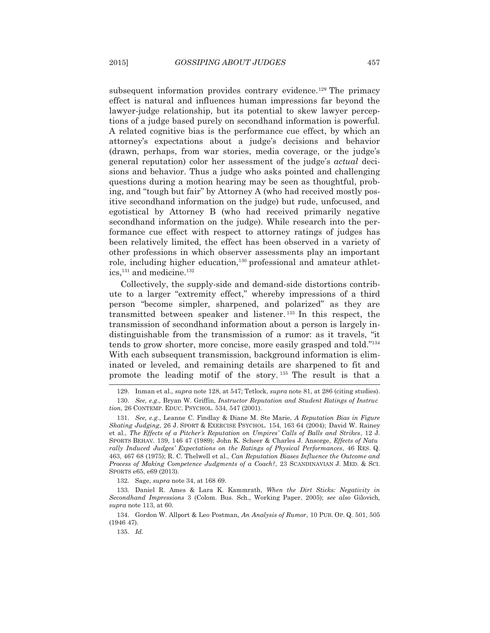subsequent information provides contrary evidence.<sup>129</sup> The primacy effect is natural and influences human impressions far beyond the lawyer-judge relationship, but its potential to skew lawyer perceptions of a judge based purely on secondhand information is powerful. A related cognitive bias is the performance cue effect, by which an attorney's expectations about a judge's decisions and behavior (drawn, perhaps, from war stories, media coverage, or the judge's general reputation) color her assessment of the judge's *actual* decisions and behavior. Thus a judge who asks pointed and challenging questions during a motion hearing may be seen as thoughtful, probing, and "tough but fair" by Attorney A (who had received mostly positive secondhand information on the judge) but rude, unfocused, and egotistical by Attorney B (who had received primarily negative secondhand information on the judge). While research into the performance cue effect with respect to attorney ratings of judges has been relatively limited, the effect has been observed in a variety of other professions in which observer assessments play an important role, including higher education,<sup>130</sup> professional and amateur athletics,<sup>131</sup> and medicine.<sup>132</sup>

 Collectively, the supply-side and demand-side distortions contribute to a larger "extremity effect," whereby impressions of a third person "become simpler, sharpened, and polarized" as they are transmitted between speaker and listener. 133 In this respect, the transmission of secondhand information about a person is largely indistinguishable from the transmission of a rumor: as it travels, "it tends to grow shorter, more concise, more easily grasped and told."134 With each subsequent transmission, background information is eliminated or leveled, and remaining details are sharpened to fit and promote the leading motif of the story. 135 The result is that a

132. Sage, *supra* note 34, at 168 69.

 <sup>129.</sup> Inman et al., *supra* note 128, at 547; Tetlock, *supra* note 81, at 286 (citing studies). 130. *See, e.g*., Bryan W. Griffin, *Instructor Reputation and Student Ratings of Instruc tion*, 26 CONTEMP. EDUC. PSYCHOL. 534, 547 (2001).

 <sup>131.</sup> *See, e.g*., Leanne C. Findlay & Diane M. Ste Marie, *A Reputation Bias in Figure Skating Judging*, 26 J. SPORT & EXERCISE PSYCHOL. 154, 163 64 (2004); David W. Rainey et al., *The Effects of a Pitcher's Reputation on Umpires' Calls of Balls and Strikes*, 12 J. SPORTS BEHAV. 139, 146 47 (1989); John K. Scheer & Charles J. Ansorge, *Effects of Natu rally Induced Judges' Expectations on the Ratings of Physical Performances*, 46 RES. Q. 463, 467 68 (1975); R. C. Thelwell et al., *Can Reputation Biases Influence the Outcome and Process of Making Competence Judgments of a Coach?*, 23 SCANDINAVIAN J. MED. & SCI. SPORTS e65, e69 (2013).

 <sup>133.</sup> Daniel R. Ames & Lara K. Kammrath, *When the Dirt Sticks: Negativity in Secondhand Impressions* 3 (Colom. Bus. Sch., Working Paper, 2005); *see also* Gilovich, *supra* note 113, at 60.

 <sup>134.</sup> Gordon W. Allport & Leo Postman, *An Analysis of Rumor*, 10 PUB. OP. Q. 501, 505 (1946 47).

 <sup>135.</sup> *Id.*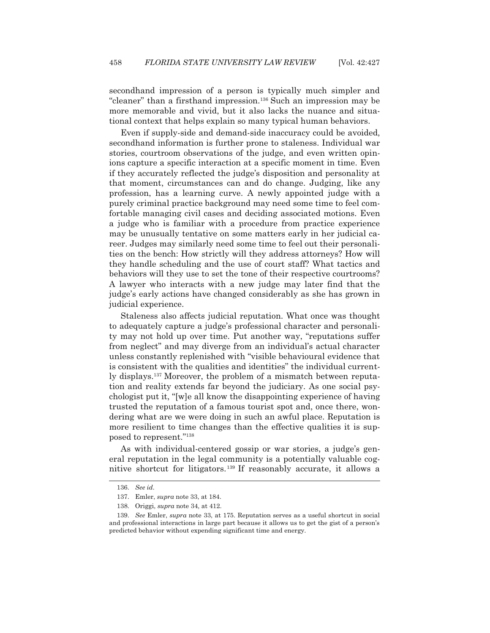secondhand impression of a person is typically much simpler and "cleaner" than a firsthand impression.136 Such an impression may be more memorable and vivid, but it also lacks the nuance and situational context that helps explain so many typical human behaviors.

 Even if supply-side and demand-side inaccuracy could be avoided, secondhand information is further prone to staleness. Individual war stories, courtroom observations of the judge, and even written opinions capture a specific interaction at a specific moment in time. Even if they accurately reflected the judge's disposition and personality at that moment, circumstances can and do change. Judging, like any profession, has a learning curve. A newly appointed judge with a purely criminal practice background may need some time to feel comfortable managing civil cases and deciding associated motions. Even a judge who is familiar with a procedure from practice experience may be unusually tentative on some matters early in her judicial career. Judges may similarly need some time to feel out their personalities on the bench: How strictly will they address attorneys? How will they handle scheduling and the use of court staff? What tactics and behaviors will they use to set the tone of their respective courtrooms? A lawyer who interacts with a new judge may later find that the judge's early actions have changed considerably as she has grown in judicial experience.

 Staleness also affects judicial reputation. What once was thought to adequately capture a judge's professional character and personality may not hold up over time. Put another way, "reputations suffer from neglect" and may diverge from an individual's actual character unless constantly replenished with "visible behavioural evidence that is consistent with the qualities and identities" the individual currently displays.137 Moreover, the problem of a mismatch between reputation and reality extends far beyond the judiciary. As one social psychologist put it, "[w]e all know the disappointing experience of having trusted the reputation of a famous tourist spot and, once there, wondering what are we were doing in such an awful place. Reputation is more resilient to time changes than the effective qualities it is supposed to represent."138

 As with individual-centered gossip or war stories, a judge's general reputation in the legal community is a potentially valuable cognitive shortcut for litigators.139 If reasonably accurate, it allows a

 <sup>136.</sup> *See id.*

 <sup>137.</sup> Emler, *supra* note 33, at 184.

 <sup>138.</sup> Origgi, *supra* note 34, at 412.

 <sup>139.</sup> *See* Emler, *supra* note 33, at 175. Reputation serves as a useful shortcut in social and professional interactions in large part because it allows us to get the gist of a person's predicted behavior without expending significant time and energy.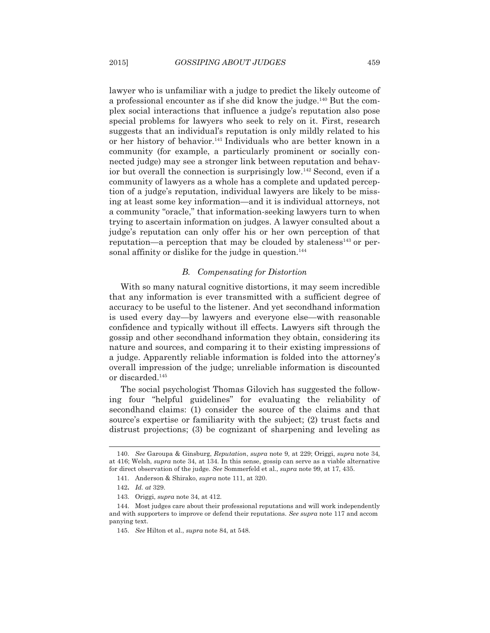lawyer who is unfamiliar with a judge to predict the likely outcome of a professional encounter as if she did know the judge.140 But the complex social interactions that influence a judge's reputation also pose special problems for lawyers who seek to rely on it. First, research suggests that an individual's reputation is only mildly related to his or her history of behavior.<sup>141</sup> Individuals who are better known in a community (for example, a particularly prominent or socially connected judge) may see a stronger link between reputation and behavior but overall the connection is surprisingly low.142 Second, even if a community of lawyers as a whole has a complete and updated perception of a judge's reputation, individual lawyers are likely to be missing at least some key information—and it is individual attorneys, not a community "oracle," that information-seeking lawyers turn to when trying to ascertain information on judges. A lawyer consulted about a judge's reputation can only offer his or her own perception of that reputation—a perception that may be clouded by staleness $143$  or personal affinity or dislike for the judge in question.<sup>144</sup>

## *B. Compensating for Distortion*

 With so many natural cognitive distortions, it may seem incredible that any information is ever transmitted with a sufficient degree of accuracy to be useful to the listener. And yet secondhand information is used every day—by lawyers and everyone else—with reasonable confidence and typically without ill effects. Lawyers sift through the gossip and other secondhand information they obtain, considering its nature and sources, and comparing it to their existing impressions of a judge. Apparently reliable information is folded into the attorney's overall impression of the judge; unreliable information is discounted or discarded.145

 The social psychologist Thomas Gilovich has suggested the following four "helpful guidelines" for evaluating the reliability of secondhand claims: (1) consider the source of the claims and that source's expertise or familiarity with the subject; (2) trust facts and distrust projections; (3) be cognizant of sharpening and leveling as

 <sup>140.</sup> *See* Garoupa & Ginsburg, *Reputation*, *supra* note 9, at 229; Origgi, *supra* note 34, at 416; Welsh, *supra* note 34, at 134. In this sense, gossip can serve as a viable alternative for direct observation of the judge. *See* Sommerfeld et al., *supra* note 99, at 17, 435.

 <sup>141.</sup> Anderson & Shirako, *supra* note 111, at 320.

<sup>142</sup>**.** *Id. at* 329.

 <sup>143.</sup> Origgi, *supra* note 34, at 412.

 <sup>144.</sup> Most judges care about their professional reputations and will work independently and with supporters to improve or defend their reputations. *See supra* note 117 and accom panying text.

 <sup>145.</sup> *See* Hilton et al., *supra* note 84, at 548.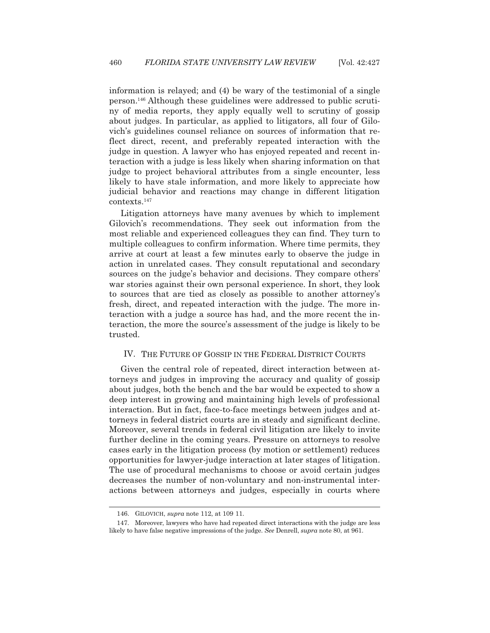information is relayed; and (4) be wary of the testimonial of a single person.146 Although these guidelines were addressed to public scrutiny of media reports, they apply equally well to scrutiny of gossip about judges. In particular, as applied to litigators, all four of Gilovich's guidelines counsel reliance on sources of information that reflect direct, recent, and preferably repeated interaction with the judge in question. A lawyer who has enjoyed repeated and recent interaction with a judge is less likely when sharing information on that judge to project behavioral attributes from a single encounter, less likely to have stale information, and more likely to appreciate how judicial behavior and reactions may change in different litigation contexts.147

 Litigation attorneys have many avenues by which to implement Gilovich's recommendations. They seek out information from the most reliable and experienced colleagues they can find. They turn to multiple colleagues to confirm information. Where time permits, they arrive at court at least a few minutes early to observe the judge in action in unrelated cases. They consult reputational and secondary sources on the judge's behavior and decisions. They compare others' war stories against their own personal experience. In short, they look to sources that are tied as closely as possible to another attorney's fresh, direct, and repeated interaction with the judge. The more interaction with a judge a source has had, and the more recent the interaction, the more the source's assessment of the judge is likely to be trusted.

## IV. THE FUTURE OF GOSSIP IN THE FEDERAL DISTRICT COURTS

 Given the central role of repeated, direct interaction between attorneys and judges in improving the accuracy and quality of gossip about judges, both the bench and the bar would be expected to show a deep interest in growing and maintaining high levels of professional interaction. But in fact, face-to-face meetings between judges and attorneys in federal district courts are in steady and significant decline. Moreover, several trends in federal civil litigation are likely to invite further decline in the coming years. Pressure on attorneys to resolve cases early in the litigation process (by motion or settlement) reduces opportunities for lawyer-judge interaction at later stages of litigation. The use of procedural mechanisms to choose or avoid certain judges decreases the number of non-voluntary and non-instrumental interactions between attorneys and judges, especially in courts where

 <sup>146.</sup> GILOVICH, *supra* note 112, at 109 11.

 <sup>147.</sup> Moreover, lawyers who have had repeated direct interactions with the judge are less likely to have false negative impressions of the judge. *See* Denrell, *supra* note 80, at 961.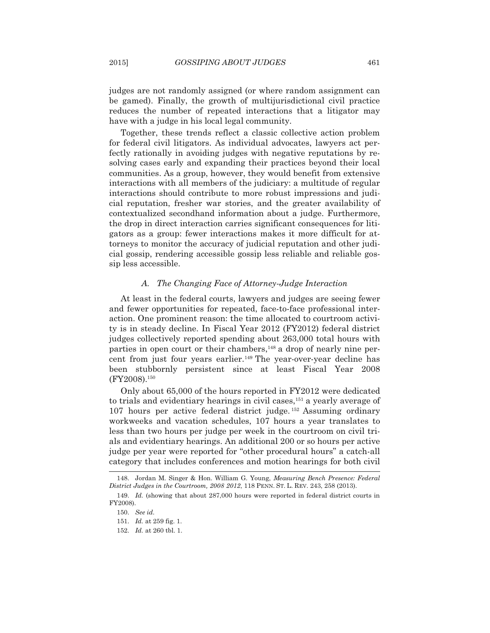judges are not randomly assigned (or where random assignment can be gamed). Finally, the growth of multijurisdictional civil practice reduces the number of repeated interactions that a litigator may have with a judge in his local legal community.

 Together, these trends reflect a classic collective action problem for federal civil litigators. As individual advocates, lawyers act perfectly rationally in avoiding judges with negative reputations by resolving cases early and expanding their practices beyond their local communities. As a group, however, they would benefit from extensive interactions with all members of the judiciary: a multitude of regular interactions should contribute to more robust impressions and judicial reputation, fresher war stories, and the greater availability of contextualized secondhand information about a judge. Furthermore, the drop in direct interaction carries significant consequences for litigators as a group: fewer interactions makes it more difficult for attorneys to monitor the accuracy of judicial reputation and other judicial gossip, rendering accessible gossip less reliable and reliable gossip less accessible.

## *A. The Changing Face of Attorney-Judge Interaction*

 At least in the federal courts, lawyers and judges are seeing fewer and fewer opportunities for repeated, face-to-face professional interaction. One prominent reason: the time allocated to courtroom activity is in steady decline. In Fiscal Year 2012 (FY2012) federal district judges collectively reported spending about 263,000 total hours with parties in open court or their chambers,<sup>148</sup> a drop of nearly nine percent from just four years earlier.<sup>149</sup> The year-over-year decline has been stubbornly persistent since at least Fiscal Year 2008 (FY2008).150

 Only about 65,000 of the hours reported in FY2012 were dedicated to trials and evidentiary hearings in civil cases,<sup>151</sup> a yearly average of 107 hours per active federal district judge. 152 Assuming ordinary workweeks and vacation schedules, 107 hours a year translates to less than two hours per judge per week in the courtroom on civil trials and evidentiary hearings. An additional 200 or so hours per active judge per year were reported for "other procedural hours" a catch-all category that includes conferences and motion hearings for both civil

 <sup>148.</sup> Jordan M. Singer & Hon. William G. Young, *Measuring Bench Presence: Federal District Judges in the Courtroom, 2008 2012*, 118 PENN. ST. L. REV. 243, 258 (2013).

 <sup>149.</sup> *Id.* (showing that about 287,000 hours were reported in federal district courts in FY2008).

 <sup>150.</sup> *See id.*

 <sup>151.</sup> *Id.* at 259 fig. 1.

 <sup>152.</sup> *Id.* at 260 tbl. 1.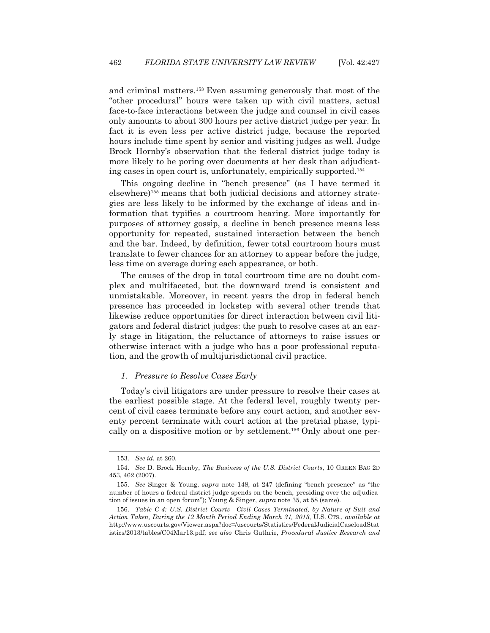and criminal matters.153 Even assuming generously that most of the "other procedural" hours were taken up with civil matters, actual face-to-face interactions between the judge and counsel in civil cases only amounts to about 300 hours per active district judge per year. In fact it is even less per active district judge, because the reported hours include time spent by senior and visiting judges as well. Judge Brock Hornby's observation that the federal district judge today is more likely to be poring over documents at her desk than adjudicating cases in open court is, unfortunately, empirically supported.154

 This ongoing decline in "bench presence" (as I have termed it elsewhere)155 means that both judicial decisions and attorney strategies are less likely to be informed by the exchange of ideas and information that typifies a courtroom hearing. More importantly for purposes of attorney gossip, a decline in bench presence means less opportunity for repeated, sustained interaction between the bench and the bar. Indeed, by definition, fewer total courtroom hours must translate to fewer chances for an attorney to appear before the judge, less time on average during each appearance, or both.

 The causes of the drop in total courtroom time are no doubt complex and multifaceted, but the downward trend is consistent and unmistakable. Moreover, in recent years the drop in federal bench presence has proceeded in lockstep with several other trends that likewise reduce opportunities for direct interaction between civil litigators and federal district judges: the push to resolve cases at an early stage in litigation, the reluctance of attorneys to raise issues or otherwise interact with a judge who has a poor professional reputation, and the growth of multijurisdictional civil practice.

## *1. Pressure to Resolve Cases Early*

 Today's civil litigators are under pressure to resolve their cases at the earliest possible stage. At the federal level, roughly twenty percent of civil cases terminate before any court action, and another seventy percent terminate with court action at the pretrial phase, typically on a dispositive motion or by settlement.156 Only about one per-

 <sup>153.</sup> *See id.* at 260.

 <sup>154.</sup> *See* D. Brock Hornby, *The Business of the U.S. District Courts*, 10 GREEN BAG 2D 453, 462 (2007).

 <sup>155.</sup> *See* Singer & Young, *supra* note 148, at 247 (defining "bench presence" as "the number of hours a federal district judge spends on the bench, presiding over the adjudica tion of issues in an open forum"); Young & Singer, *supra* note 35, at 58 (same).

 <sup>156.</sup> *Table C 4: U.S. District Courts Civil Cases Terminated, by Nature of Suit and Action Taken, During the 12 Month Period Ending March 31, 2013*, U.S. CTS., *available at*  http://www.uscourts.gov/Viewer.aspx?doc=/uscourts/Statistics/FederalJudicialCaseloadStat istics/2013/tables/C04Mar13.pdf; *see also* Chris Guthrie, *Procedural Justice Research and*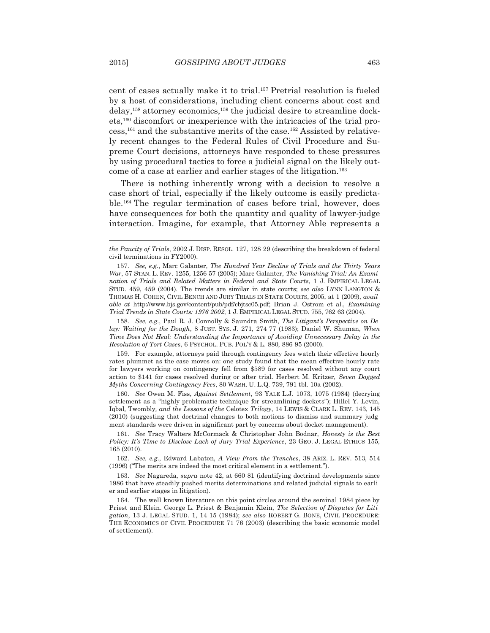cent of cases actually make it to trial.157 Pretrial resolution is fueled by a host of considerations, including client concerns about cost and  $delay$ ,<sup>158</sup> attorney economics,<sup>159</sup> the judicial desire to streamline dockets,160 discomfort or inexperience with the intricacies of the trial process,161 and the substantive merits of the case.162 Assisted by relatively recent changes to the Federal Rules of Civil Procedure and Supreme Court decisions, attorneys have responded to these pressures by using procedural tactics to force a judicial signal on the likely outcome of a case at earlier and earlier stages of the litigation.<sup>163</sup>

 There is nothing inherently wrong with a decision to resolve a case short of trial, especially if the likely outcome is easily predictable.164 The regular termination of cases before trial, however, does have consequences for both the quantity and quality of lawyer-judge interaction. Imagine, for example, that Attorney Able represents a

 158. *See, e.g*., Paul R. J. Connolly & Saundra Smith, *The Litigant's Perspective on De lay: Waiting for the Dough*, 8 JUST. SYS. J. 271, 274 77 (1983); Daniel W. Shuman, *When Time Does Not Heal: Understanding the Importance of Avoiding Unnecessary Delay in the Resolution of Tort Cases*, 6 PSYCHOL. PUB. POL'Y & L. 880, 886 95 (2000).

 159. For example, attorneys paid through contingency fees watch their effective hourly rates plummet as the case moves on: one study found that the mean effective hourly rate for lawyers working on contingency fell from \$589 for cases resolved without any court action to \$141 for cases resolved during or after trial. Herbert M. Kritzer, *Seven Dogged Myths Concerning Contingency Fees*, 80 WASH. U. L.Q. 739, 791 tbl. 10a (2002).

 160. *See* Owen M. Fiss, *Against Settlement*, 93 YALE L.J. 1073, 1075 (1984) (decrying settlement as a "highly problematic technique for streamlining dockets"); Hillel Y. Levin, Iqbal*,* Twombly*, and the Lessons of the* Celotex *Trilogy*, 14 LEWIS & CLARK L. REV. 143, 145 (2010) (suggesting that doctrinal changes to both motions to dismiss and summary judg ment standards were driven in significant part by concerns about docket management).

 161. *See* Tracy Walters McCormack & Christopher John Bodnar, *Honesty is the Best Policy: It's Time to Disclose Lack of Jury Trial Experience*, 23 GEO. J. LEGAL ETHICS 155, 165 (2010).

 162. *See, e.g*., Edward Labaton, *A View From the Trenches*, 38 ARIZ. L. REV. 513, 514 (1996) ("The merits are indeed the most critical element in a settlement.").

 163. *See* Nagareda, *supra* note 42, at 660 81 (identifying doctrinal developments since 1986 that have steadily pushed merits determinations and related judicial signals to earli er and earlier stages in litigation).

 164. The well known literature on this point circles around the seminal 1984 piece by Priest and Klein. George L. Priest & Benjamin Klein, *The Selection of Disputes for Liti gation*, 13 J. LEGAL STUD. 1, 14 15 (1984); *see also* ROBERT G. BONE, CIVIL PROCEDURE: THE ECONOMICS OF CIVIL PROCEDURE 71 76 (2003) (describing the basic economic model of settlement).

*the Paucity of Trials*, 2002 J. DISP. RESOL. 127, 128 29 (describing the breakdown of federal civil terminations in FY2000).

 <sup>157.</sup> *See, e.g.*, Marc Galanter, *The Hundred Year Decline of Trials and the Thirty Years War*, 57 STAN. L. REV. 1255, 1256 57 (2005); Marc Galanter, *The Vanishing Trial: An Exami nation of Trials and Related Matters in Federal and State Courts*, 1 J. EMPIRICAL LEGAL STUD. 459, 459 (2004). The trends are similar in state courts; *see also* LYNN LANGTON & THOMAS H. COHEN, CIVIL BENCH AND JURY TRIALS IN STATE COURTS, 2005, at 1 (2009), *avail able at* http://www.bjs.gov/content/pub/pdf/cbjtsc05.pdf; Brian J. Ostrom et al., *Examining Trial Trends in State Courts: 1976 2002*, 1 J. EMPIRICAL LEGAL STUD. 755, 762 63 (2004).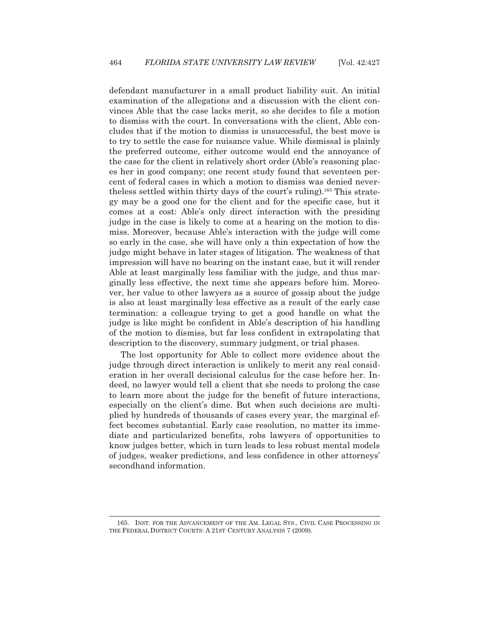defendant manufacturer in a small product liability suit. An initial examination of the allegations and a discussion with the client convinces Able that the case lacks merit, so she decides to file a motion to dismiss with the court. In conversations with the client, Able concludes that if the motion to dismiss is unsuccessful, the best move is to try to settle the case for nuisance value. While dismissal is plainly the preferred outcome, either outcome would end the annoyance of the case for the client in relatively short order (Able's reasoning places her in good company; one recent study found that seventeen percent of federal cases in which a motion to dismiss was denied nevertheless settled within thirty days of the court's ruling).165 This strategy may be a good one for the client and for the specific case, but it comes at a cost: Able's only direct interaction with the presiding judge in the case is likely to come at a hearing on the motion to dismiss. Moreover, because Able's interaction with the judge will come so early in the case, she will have only a thin expectation of how the judge might behave in later stages of litigation. The weakness of that impression will have no bearing on the instant case, but it will render Able at least marginally less familiar with the judge, and thus marginally less effective, the next time she appears before him. Moreover, her value to other lawyers as a source of gossip about the judge is also at least marginally less effective as a result of the early case termination: a colleague trying to get a good handle on what the judge is like might be confident in Able's description of his handling of the motion to dismiss, but far less confident in extrapolating that description to the discovery, summary judgment, or trial phases.

 The lost opportunity for Able to collect more evidence about the judge through direct interaction is unlikely to merit any real consideration in her overall decisional calculus for the case before her. Indeed, no lawyer would tell a client that she needs to prolong the case to learn more about the judge for the benefit of future interactions, especially on the client's dime. But when such decisions are multiplied by hundreds of thousands of cases every year, the marginal effect becomes substantial. Early case resolution, no matter its immediate and particularized benefits, robs lawyers of opportunities to know judges better, which in turn leads to less robust mental models of judges, weaker predictions, and less confidence in other attorneys' secondhand information.

 <sup>165.</sup> INST. FOR THE ADVANCEMENT OF THE AM. LEGAL SYS., CIVIL CASE PROCESSING IN THE FEDERAL DISTRICT COURTS: A 21ST CENTURY ANALYSIS 7 (2009).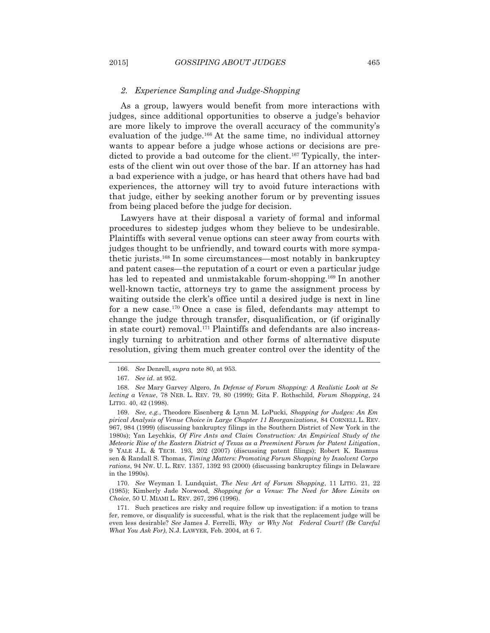#### *2. Experience Sampling and Judge-Shopping*

 As a group, lawyers would benefit from more interactions with judges, since additional opportunities to observe a judge's behavior are more likely to improve the overall accuracy of the community's evaluation of the judge.<sup>166</sup> At the same time, no individual attorney wants to appear before a judge whose actions or decisions are predicted to provide a bad outcome for the client.<sup>167</sup> Typically, the interests of the client win out over those of the bar. If an attorney has had a bad experience with a judge, or has heard that others have had bad experiences, the attorney will try to avoid future interactions with that judge, either by seeking another forum or by preventing issues from being placed before the judge for decision.

 Lawyers have at their disposal a variety of formal and informal procedures to sidestep judges whom they believe to be undesirable. Plaintiffs with several venue options can steer away from courts with judges thought to be unfriendly, and toward courts with more sympathetic jurists.168 In some circumstances—most notably in bankruptcy and patent cases—the reputation of a court or even a particular judge has led to repeated and unmistakable forum-shopping.<sup>169</sup> In another well-known tactic, attorneys try to game the assignment process by waiting outside the clerk's office until a desired judge is next in line for a new case.170 Once a case is filed, defendants may attempt to change the judge through transfer, disqualification, or (if originally in state court) removal.<sup>171</sup> Plaintiffs and defendants are also increasingly turning to arbitration and other forms of alternative dispute resolution, giving them much greater control over the identity of the

 170. *See* Weyman I. Lundquist, *The New Art of Forum Shopping*, 11 LITIG. 21, 22 (1985); Kimberly Jade Norwood, *Shopping for a Venue: The Need for More Limits on Choice*, 50 U. MIAMI L. REV. 267, 296 (1996).

 <sup>166.</sup> *See* Denrell, *supra* note 80*,* at 953.

 <sup>167.</sup> *See id*. at 952.

 <sup>168.</sup> *See* Mary Garvey Algero, *In Defense of Forum Shopping: A Realistic Look at Se lecting a Venue*, 78 NEB. L. REV. 79, 80 (1999); Gita F. Rothschild, *Forum Shopping*, 24 LITIG. 40, 42 (1998).

 <sup>169.</sup> *See, e.g.*, Theodore Eisenberg & Lynn M. LoPucki, *Shopping for Judges: An Em pirical Analysis of Venue Choice in Large Chapter 11 Reorganizations*, 84 CORNELL L. REV. 967, 984 (1999) (discussing bankruptcy filings in the Southern District of New York in the 1980s); Yan Leychkis, *Of Fire Ants and Claim Construction: An Empirical Study of the Meteoric Rise of the Eastern District of Texas as a Preeminent Forum for Patent Litigation*, 9 YALE J.L. & TECH. 193, 202 (2007) (discussing patent filings); Robert K. Rasmus sen & Randall S. Thomas, *Timing Matters: Promoting Forum Shopping by Insolvent Corpo rations*, 94 NW. U. L. REV. 1357, 1392 93 (2000) (discussing bankruptcy filings in Delaware in the 1990s).

 <sup>171.</sup> Such practices are risky and require follow up investigation: if a motion to trans fer, remove, or disqualify is successful, what is the risk that the replacement judge will be even less desirable? *See* James J. Ferrelli, *Why or Why Not Federal Court? (Be Careful What You Ask For)*, N.J. LAWYER, Feb. 2004, at 6 7.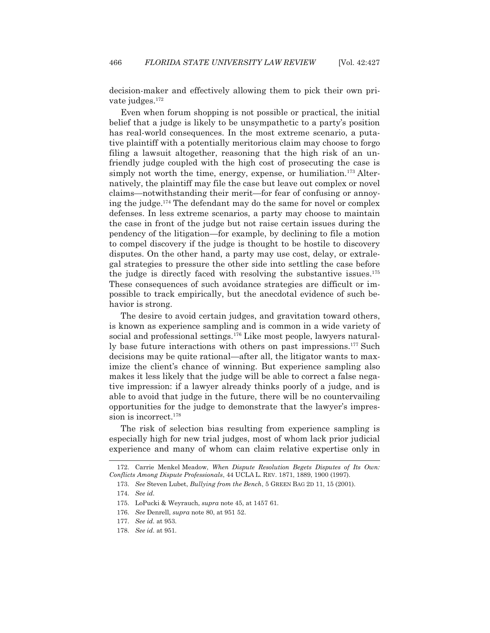l

decision-maker and effectively allowing them to pick their own private judges.172

 Even when forum shopping is not possible or practical, the initial belief that a judge is likely to be unsympathetic to a party's position has real-world consequences. In the most extreme scenario, a putative plaintiff with a potentially meritorious claim may choose to forgo filing a lawsuit altogether, reasoning that the high risk of an unfriendly judge coupled with the high cost of prosecuting the case is simply not worth the time, energy, expense, or humiliation.<sup>173</sup> Alternatively, the plaintiff may file the case but leave out complex or novel claims—notwithstanding their merit—for fear of confusing or annoying the judge.<sup>174</sup> The defendant may do the same for novel or complex defenses. In less extreme scenarios, a party may choose to maintain the case in front of the judge but not raise certain issues during the pendency of the litigation—for example, by declining to file a motion to compel discovery if the judge is thought to be hostile to discovery disputes. On the other hand, a party may use cost, delay, or extralegal strategies to pressure the other side into settling the case before the judge is directly faced with resolving the substantive issues.<sup>175</sup> These consequences of such avoidance strategies are difficult or impossible to track empirically, but the anecdotal evidence of such behavior is strong.

 The desire to avoid certain judges, and gravitation toward others, is known as experience sampling and is common in a wide variety of social and professional settings.<sup>176</sup> Like most people, lawyers naturally base future interactions with others on past impressions.<sup>177</sup> Such decisions may be quite rational—after all, the litigator wants to maximize the client's chance of winning. But experience sampling also makes it less likely that the judge will be able to correct a false negative impression: if a lawyer already thinks poorly of a judge, and is able to avoid that judge in the future, there will be no countervailing opportunities for the judge to demonstrate that the lawyer's impression is incorrect.<sup>178</sup>

 The risk of selection bias resulting from experience sampling is especially high for new trial judges, most of whom lack prior judicial experience and many of whom can claim relative expertise only in

 <sup>172.</sup> Carrie Menkel Meadow, *When Dispute Resolution Begets Disputes of Its Own: Conflicts Among Dispute Professionals*, 44 UCLA L. REV. 1871, 1889, 1900 (1997).

 <sup>173.</sup> *See* Steven Lubet, *Bullying from the Bench*, 5 GREEN BAG 2D 11, 15 (2001).

 <sup>174.</sup> *See id.*

 <sup>175.</sup> LoPucki & Weyrauch, *supra* note 45, at 1457 61.

 <sup>176.</sup> *See* Denrell, *supra* note 80, at 951 52.

 <sup>177.</sup> *See id.* at 953.

 <sup>178.</sup> *See id.* at 951.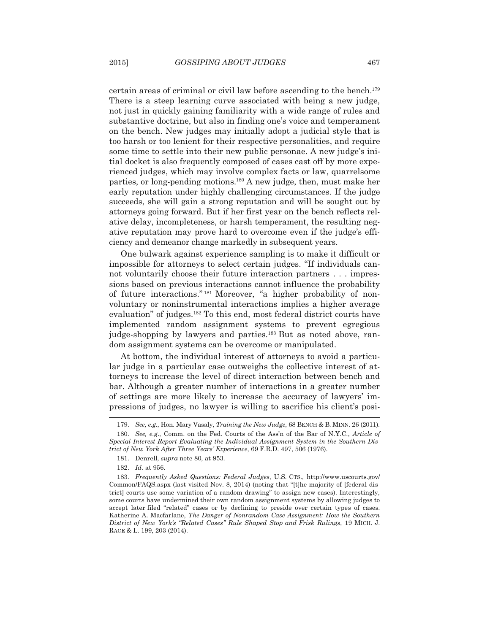certain areas of criminal or civil law before ascending to the bench.179 There is a steep learning curve associated with being a new judge, not just in quickly gaining familiarity with a wide range of rules and substantive doctrine, but also in finding one's voice and temperament on the bench. New judges may initially adopt a judicial style that is too harsh or too lenient for their respective personalities, and require some time to settle into their new public personae. A new judge's initial docket is also frequently composed of cases cast off by more experienced judges, which may involve complex facts or law, quarrelsome parties, or long-pending motions.180 A new judge, then, must make her early reputation under highly challenging circumstances. If the judge succeeds, she will gain a strong reputation and will be sought out by attorneys going forward. But if her first year on the bench reflects relative delay, incompleteness, or harsh temperament, the resulting negative reputation may prove hard to overcome even if the judge's efficiency and demeanor change markedly in subsequent years.

 One bulwark against experience sampling is to make it difficult or impossible for attorneys to select certain judges. "If individuals cannot voluntarily choose their future interaction partners . . . impressions based on previous interactions cannot influence the probability of future interactions." 181 Moreover, "a higher probability of nonvoluntary or noninstrumental interactions implies a higher average evaluation" of judges.182 To this end, most federal district courts have implemented random assignment systems to prevent egregious judge-shopping by lawyers and parties.<sup>183</sup> But as noted above, random assignment systems can be overcome or manipulated.

 At bottom, the individual interest of attorneys to avoid a particular judge in a particular case outweighs the collective interest of attorneys to increase the level of direct interaction between bench and bar. Although a greater number of interactions in a greater number of settings are more likely to increase the accuracy of lawyers' impressions of judges, no lawyer is willing to sacrifice his client's posi-

 <sup>179.</sup> *See, e.g*., Hon. Mary Vasaly, *Training the New Judge*, 68 BENCH & B. MINN. 26 (2011).

 <sup>180.</sup> *See, e.g*., Comm. on the Fed. Courts of the Ass'n of the Bar of N.Y.C., *Article of Special Interest Report Evaluating the Individual Assignment System in the Southern Dis trict of New York After Three Years' Experience*, 69 F.R.D. 497, 506 (1976).

 <sup>181.</sup> Denrell, *supra* note 80, at 953.

 <sup>182.</sup> *Id.* at 956.

 <sup>183.</sup> *Frequently Asked Questions: Federal Judges*, U.S. CTS., http://www.uscourts.gov/ Common/FAQS.aspx (last visited Nov. 8, 2014) (noting that "[t]he majority of [federal dis trict] courts use some variation of a random drawing" to assign new cases). Interestingly, some courts have undermined their own random assignment systems by allowing judges to accept later filed "related" cases or by declining to preside over certain types of cases. Katherine A. Macfarlane, *The Danger of Nonrandom Case Assignment: How the Southern District of New York's "Related Cases" Rule Shaped Stop and Frisk Rulings*, 19 MICH. J. RACE & L. 199, 203 (2014).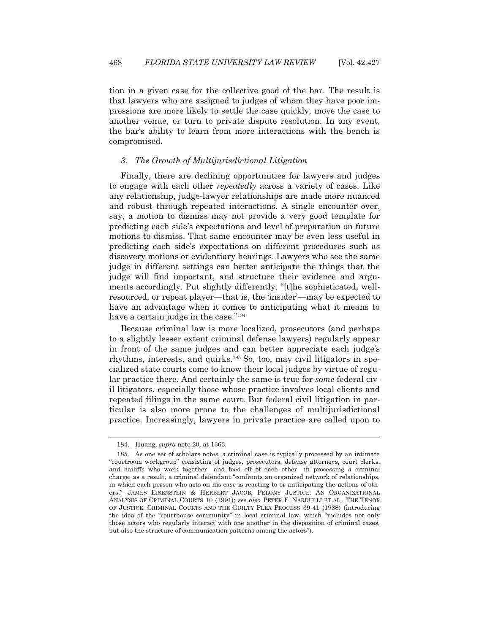tion in a given case for the collective good of the bar. The result is that lawyers who are assigned to judges of whom they have poor impressions are more likely to settle the case quickly, move the case to another venue, or turn to private dispute resolution. In any event, the bar's ability to learn from more interactions with the bench is compromised.

## *3. The Growth of Multijurisdictional Litigation*

 Finally, there are declining opportunities for lawyers and judges to engage with each other *repeatedly* across a variety of cases. Like any relationship, judge-lawyer relationships are made more nuanced and robust through repeated interactions. A single encounter over, say, a motion to dismiss may not provide a very good template for predicting each side's expectations and level of preparation on future motions to dismiss. That same encounter may be even less useful in predicting each side's expectations on different procedures such as discovery motions or evidentiary hearings. Lawyers who see the same judge in different settings can better anticipate the things that the judge will find important, and structure their evidence and arguments accordingly. Put slightly differently, "[t]he sophisticated, wellresourced, or repeat player—that is, the 'insider'—may be expected to have an advantage when it comes to anticipating what it means to have a certain judge in the case."184

 Because criminal law is more localized, prosecutors (and perhaps to a slightly lesser extent criminal defense lawyers) regularly appear in front of the same judges and can better appreciate each judge's rhythms, interests, and quirks.185 So, too, may civil litigators in specialized state courts come to know their local judges by virtue of regular practice there. And certainly the same is true for *some* federal civil litigators, especially those whose practice involves local clients and repeated filings in the same court. But federal civil litigation in particular is also more prone to the challenges of multijurisdictional practice. Increasingly, lawyers in private practice are called upon to

 <sup>184.</sup> Huang, *supra* note 20, at 1363.

 <sup>185.</sup> As one set of scholars notes, a criminal case is typically processed by an intimate "courtroom workgroup" consisting of judges, prosecutors, defense attorneys, court clerks, and bailiffs who work together and feed off of each other in processing a criminal charge; as a result, a criminal defendant "confronts an organized network of relationships, in which each person who acts on his case is reacting to or anticipating the actions of oth ers." JAMES EISENSTEIN & HERBERT JACOB, FELONY JUSTICE: AN ORGANIZATIONAL ANALYSIS OF CRIMINAL COURTS 10 (1991); *see also* PETER F. NARDULLI ET AL., THE TENOR OF JUSTICE: CRIMINAL COURTS AND THE GUILTY PLEA PROCESS 39 41 (1988) (introducing the idea of the "courthouse community" in local criminal law, which "includes not only those actors who regularly interact with one another in the disposition of criminal cases, but also the structure of communication patterns among the actors").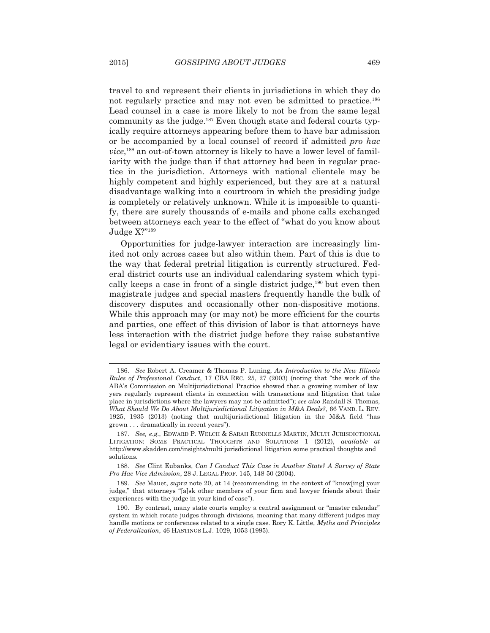travel to and represent their clients in jurisdictions in which they do not regularly practice and may not even be admitted to practice.<sup>186</sup> Lead counsel in a case is more likely to not be from the same legal community as the judge.187 Even though state and federal courts typically require attorneys appearing before them to have bar admission or be accompanied by a local counsel of record if admitted *pro hac vice*, 188 an out-of-town attorney is likely to have a lower level of familiarity with the judge than if that attorney had been in regular practice in the jurisdiction. Attorneys with national clientele may be highly competent and highly experienced, but they are at a natural disadvantage walking into a courtroom in which the presiding judge is completely or relatively unknown. While it is impossible to quantify, there are surely thousands of e-mails and phone calls exchanged between attorneys each year to the effect of "what do you know about Judge X?"189

 Opportunities for judge-lawyer interaction are increasingly limited not only across cases but also within them. Part of this is due to the way that federal pretrial litigation is currently structured. Federal district courts use an individual calendaring system which typically keeps a case in front of a single district judge, $190$  but even then magistrate judges and special masters frequently handle the bulk of discovery disputes and occasionally other non-dispositive motions. While this approach may (or may not) be more efficient for the courts and parties, one effect of this division of labor is that attorneys have less interaction with the district judge before they raise substantive legal or evidentiary issues with the court.

 <sup>186.</sup> *See* Robert A. Creamer & Thomas P. Luning, *An Introduction to the New Illinois Rules of Professional Conduct*, 17 CBA REC. 25, 27 (2003) (noting that "the work of the ABA's Commission on Multijurisdictional Practice showed that a growing number of law yers regularly represent clients in connection with transactions and litigation that take place in jurisdictions where the lawyers may not be admitted"); *see also* Randall S. Thomas, *What Should We Do About Multijurisdictional Litigation in M&A Deals?*, 66 VAND. L. REV. 1925, 1935 (2013) (noting that multijurisdictional litigation in the M&A field "has grown . . . dramatically in recent years").

 <sup>187.</sup> *See, e.g*., EDWARD P. WELCH & SARAH RUNNELLS MARTIN, MULTI JURISDICTIONAL LITIGATION: SOME PRACTICAL THOUGHTS AND SOLUTIONS 1 (2012), *available at* http://www.skadden.com/insights/multi jurisdictional litigation some practical thoughts and solutions.

 <sup>188.</sup> *See* Clint Eubanks, *Can I Conduct This Case in Another State? A Survey of State Pro Hac Vice Admission*, 28 J. LEGAL PROF. 145, 148 50 (2004).

 <sup>189.</sup> *See* Mauet, *supra* note 20, at 14 (recommending, in the context of "know[ing] your judge," that attorneys "[a]sk other members of your firm and lawyer friends about their experiences with the judge in your kind of case").

 <sup>190.</sup> By contrast, many state courts employ a central assignment or "master calendar" system in which rotate judges through divisions, meaning that many different judges may handle motions or conferences related to a single case. Rory K. Little, *Myths and Principles of Federalization*, 46 HASTINGS L.J. 1029, 1053 (1995).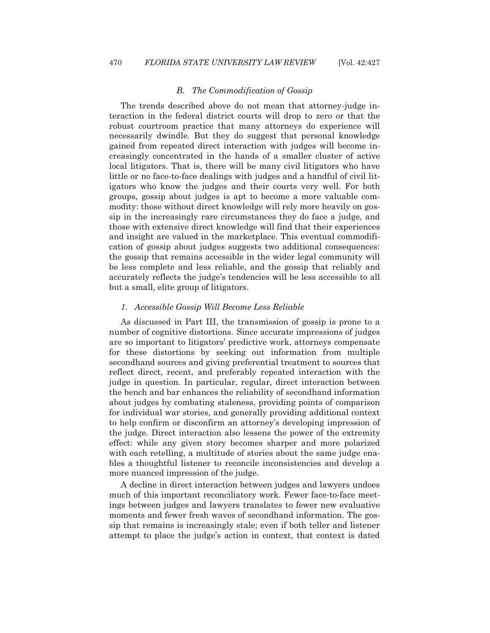#### *B. The Commodification of Gossip*

 The trends described above do not mean that attorney-judge interaction in the federal district courts will drop to zero or that the robust courtroom practice that many attorneys do experience will necessarily dwindle. But they do suggest that personal knowledge gained from repeated direct interaction with judges will become increasingly concentrated in the hands of a smaller cluster of active local litigators. That is, there will be many civil litigators who have little or no face-to-face dealings with judges and a handful of civil litigators who know the judges and their courts very well. For both groups, gossip about judges is apt to become a more valuable commodity: those without direct knowledge will rely more heavily on gossip in the increasingly rare circumstances they do face a judge, and those with extensive direct knowledge will find that their experiences and insight are valued in the marketplace. This eventual commodification of gossip about judges suggests two additional consequences: the gossip that remains accessible in the wider legal community will be less complete and less reliable, and the gossip that reliably and accurately reflects the judge's tendencies will be less accessible to all but a small, elite group of litigators.

#### *1. Accessible Gossip Will Become Less Reliable*

 As discussed in Part III, the transmission of gossip is prone to a number of cognitive distortions. Since accurate impressions of judges are so important to litigators' predictive work, attorneys compensate for these distortions by seeking out information from multiple secondhand sources and giving preferential treatment to sources that reflect direct, recent, and preferably repeated interaction with the judge in question. In particular, regular, direct interaction between the bench and bar enhances the reliability of secondhand information about judges by combating staleness, providing points of comparison for individual war stories, and generally providing additional context to help confirm or disconfirm an attorney's developing impression of the judge. Direct interaction also lessens the power of the extremity effect: while any given story becomes sharper and more polarized with each retelling, a multitude of stories about the same judge enables a thoughtful listener to reconcile inconsistencies and develop a more nuanced impression of the judge.

 A decline in direct interaction between judges and lawyers undoes much of this important reconciliatory work. Fewer face-to-face meetings between judges and lawyers translates to fewer new evaluative moments and fewer fresh waves of secondhand information. The gossip that remains is increasingly stale; even if both teller and listener attempt to place the judge's action in context, that context is dated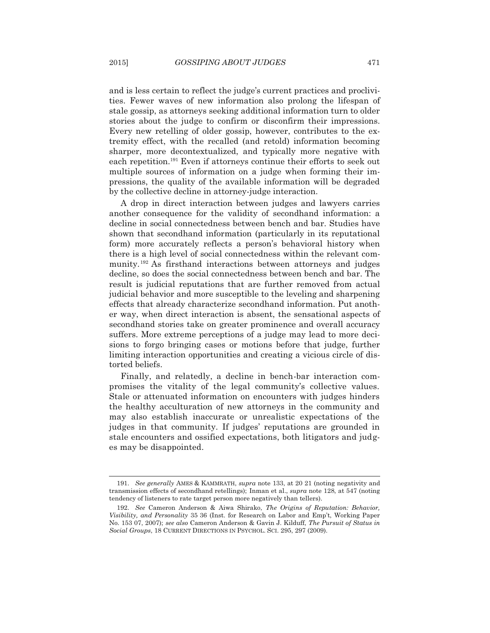and is less certain to reflect the judge's current practices and proclivities. Fewer waves of new information also prolong the lifespan of stale gossip, as attorneys seeking additional information turn to older stories about the judge to confirm or disconfirm their impressions. Every new retelling of older gossip, however, contributes to the extremity effect, with the recalled (and retold) information becoming sharper, more decontextualized, and typically more negative with each repetition.191 Even if attorneys continue their efforts to seek out multiple sources of information on a judge when forming their impressions, the quality of the available information will be degraded by the collective decline in attorney-judge interaction.

 A drop in direct interaction between judges and lawyers carries another consequence for the validity of secondhand information: a decline in social connectedness between bench and bar. Studies have shown that secondhand information (particularly in its reputational form) more accurately reflects a person's behavioral history when there is a high level of social connectedness within the relevant community.192 As firsthand interactions between attorneys and judges decline, so does the social connectedness between bench and bar. The result is judicial reputations that are further removed from actual judicial behavior and more susceptible to the leveling and sharpening effects that already characterize secondhand information. Put another way, when direct interaction is absent, the sensational aspects of secondhand stories take on greater prominence and overall accuracy suffers. More extreme perceptions of a judge may lead to more decisions to forgo bringing cases or motions before that judge, further limiting interaction opportunities and creating a vicious circle of distorted beliefs.

 Finally, and relatedly, a decline in bench-bar interaction compromises the vitality of the legal community's collective values. Stale or attenuated information on encounters with judges hinders the healthy acculturation of new attorneys in the community and may also establish inaccurate or unrealistic expectations of the judges in that community. If judges' reputations are grounded in stale encounters and ossified expectations, both litigators and judges may be disappointed.

 <sup>191.</sup> *See generally* AMES & KAMMRATH, *supra* note 133, at 20 21 (noting negativity and transmission effects of secondhand retellings); Inman et al., *supra* note 128, at 547 (noting tendency of listeners to rate target person more negatively than tellers).

 <sup>192.</sup> *See* Cameron Anderson & Aiwa Shirako, *The Origins of Reputation: Behavior, Visibility, and Personality* 35 36 (Inst. for Research on Labor and Emp't, Working Paper No. 153 07, 2007); *see also* Cameron Anderson & Gavin J. Kilduff, *The Pursuit of Status in Social Groups*, 18 CURRENT DIRECTIONS IN PSYCHOL. SCI. 295, 297 (2009).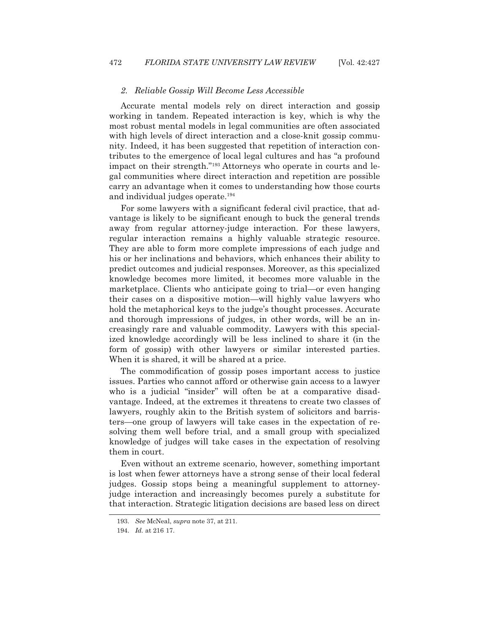#### *2. Reliable Gossip Will Become Less Accessible*

 Accurate mental models rely on direct interaction and gossip working in tandem. Repeated interaction is key, which is why the most robust mental models in legal communities are often associated with high levels of direct interaction and a close-knit gossip community. Indeed, it has been suggested that repetition of interaction contributes to the emergence of local legal cultures and has "a profound impact on their strength."<sup>193</sup> Attorneys who operate in courts and legal communities where direct interaction and repetition are possible carry an advantage when it comes to understanding how those courts and individual judges operate.194

 For some lawyers with a significant federal civil practice, that advantage is likely to be significant enough to buck the general trends away from regular attorney-judge interaction. For these lawyers, regular interaction remains a highly valuable strategic resource. They are able to form more complete impressions of each judge and his or her inclinations and behaviors, which enhances their ability to predict outcomes and judicial responses. Moreover, as this specialized knowledge becomes more limited, it becomes more valuable in the marketplace. Clients who anticipate going to trial—or even hanging their cases on a dispositive motion—will highly value lawyers who hold the metaphorical keys to the judge's thought processes. Accurate and thorough impressions of judges, in other words, will be an increasingly rare and valuable commodity. Lawyers with this specialized knowledge accordingly will be less inclined to share it (in the form of gossip) with other lawyers or similar interested parties. When it is shared, it will be shared at a price.

 The commodification of gossip poses important access to justice issues. Parties who cannot afford or otherwise gain access to a lawyer who is a judicial "insider" will often be at a comparative disadvantage. Indeed, at the extremes it threatens to create two classes of lawyers, roughly akin to the British system of solicitors and barristers—one group of lawyers will take cases in the expectation of resolving them well before trial, and a small group with specialized knowledge of judges will take cases in the expectation of resolving them in court.

 Even without an extreme scenario, however, something important is lost when fewer attorneys have a strong sense of their local federal judges. Gossip stops being a meaningful supplement to attorneyjudge interaction and increasingly becomes purely a substitute for that interaction. Strategic litigation decisions are based less on direct

 <sup>193.</sup> *See* McNeal, *supra* note 37, at 211.

 <sup>194.</sup> *Id.* at 216 17.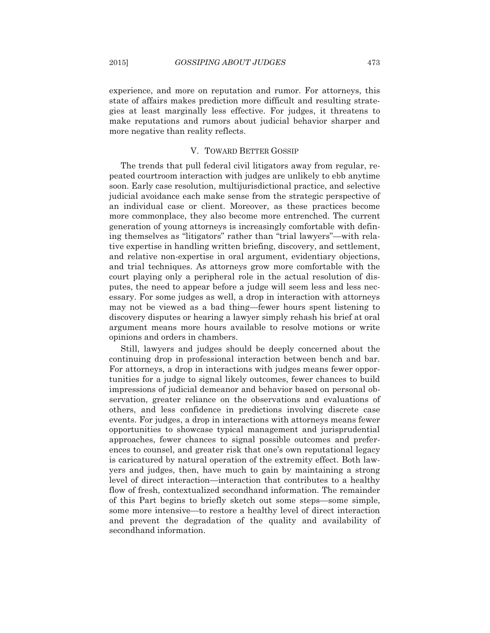experience, and more on reputation and rumor. For attorneys, this state of affairs makes prediction more difficult and resulting strategies at least marginally less effective. For judges, it threatens to make reputations and rumors about judicial behavior sharper and more negative than reality reflects.

#### V. TOWARD BETTER GOSSIP

 The trends that pull federal civil litigators away from regular, repeated courtroom interaction with judges are unlikely to ebb anytime soon. Early case resolution, multijurisdictional practice, and selective judicial avoidance each make sense from the strategic perspective of an individual case or client. Moreover, as these practices become more commonplace, they also become more entrenched. The current generation of young attorneys is increasingly comfortable with defining themselves as "litigators" rather than "trial lawyers"—with relative expertise in handling written briefing, discovery, and settlement, and relative non-expertise in oral argument, evidentiary objections, and trial techniques. As attorneys grow more comfortable with the court playing only a peripheral role in the actual resolution of disputes, the need to appear before a judge will seem less and less necessary. For some judges as well, a drop in interaction with attorneys may not be viewed as a bad thing—fewer hours spent listening to discovery disputes or hearing a lawyer simply rehash his brief at oral argument means more hours available to resolve motions or write opinions and orders in chambers.

 Still, lawyers and judges should be deeply concerned about the continuing drop in professional interaction between bench and bar. For attorneys, a drop in interactions with judges means fewer opportunities for a judge to signal likely outcomes, fewer chances to build impressions of judicial demeanor and behavior based on personal observation, greater reliance on the observations and evaluations of others, and less confidence in predictions involving discrete case events. For judges, a drop in interactions with attorneys means fewer opportunities to showcase typical management and jurisprudential approaches, fewer chances to signal possible outcomes and preferences to counsel, and greater risk that one's own reputational legacy is caricatured by natural operation of the extremity effect. Both lawyers and judges, then, have much to gain by maintaining a strong level of direct interaction—interaction that contributes to a healthy flow of fresh, contextualized secondhand information. The remainder of this Part begins to briefly sketch out some steps—some simple, some more intensive—to restore a healthy level of direct interaction and prevent the degradation of the quality and availability of secondhand information.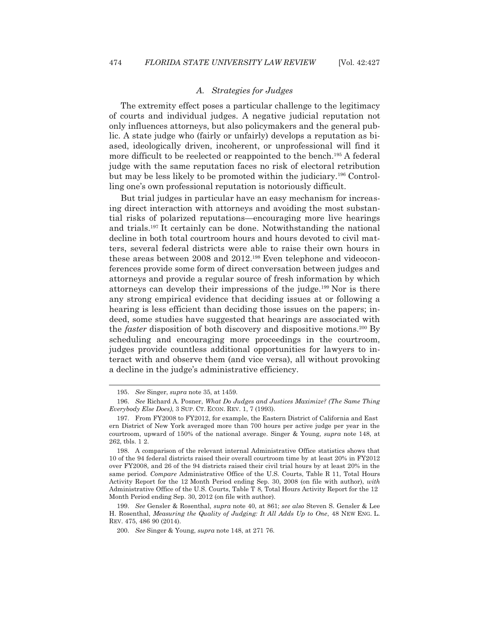l

## *A. Strategies for Judges*

 The extremity effect poses a particular challenge to the legitimacy of courts and individual judges. A negative judicial reputation not only influences attorneys, but also policymakers and the general public. A state judge who (fairly or unfairly) develops a reputation as biased, ideologically driven, incoherent, or unprofessional will find it more difficult to be reelected or reappointed to the bench.<sup>195</sup> A federal judge with the same reputation faces no risk of electoral retribution but may be less likely to be promoted within the judiciary.196 Controlling one's own professional reputation is notoriously difficult.

 But trial judges in particular have an easy mechanism for increasing direct interaction with attorneys and avoiding the most substantial risks of polarized reputations—encouraging more live hearings and trials.197 It certainly can be done. Notwithstanding the national decline in both total courtroom hours and hours devoted to civil matters, several federal districts were able to raise their own hours in these areas between 2008 and 2012.<sup>198</sup> Even telephone and videoconferences provide some form of direct conversation between judges and attorneys and provide a regular source of fresh information by which attorneys can develop their impressions of the judge.199 Nor is there any strong empirical evidence that deciding issues at or following a hearing is less efficient than deciding those issues on the papers; indeed, some studies have suggested that hearings are associated with the *faster* disposition of both discovery and dispositive motions.<sup>200</sup> By scheduling and encouraging more proceedings in the courtroom, judges provide countless additional opportunities for lawyers to interact with and observe them (and vice versa), all without provoking a decline in the judge's administrative efficiency.

 199. *See* Gensler & Rosenthal, *supra* note 40, at 861; *see also* Steven S. Gensler & Lee H. Rosenthal, *Measuring the Quality of Judging: It All Adds Up to One*, 48 NEW ENG. L. REV. 475, 486 90 (2014).

 <sup>195.</sup> *See* Singer, *supra* note 35, at 1459.

 <sup>196.</sup> *See* Richard A. Posner, *What Do Judges and Justices Maximize? (The Same Thing Everybody Else Does)*, 3 SUP. CT. ECON. REV. 1, 7 (1993).

 <sup>197.</sup> From FY2008 to FY2012, for example, the Eastern District of California and East ern District of New York averaged more than 700 hours per active judge per year in the courtroom, upward of 150% of the national average. Singer & Young, *supra* note 148, at 262, tbls. 1 2.

 <sup>198.</sup> A comparison of the relevant internal Administrative Office statistics shows that 10 of the 94 federal districts raised their overall courtroom time by at least 20% in FY2012 over FY2008, and 26 of the 94 districts raised their civil trial hours by at least 20% in the same period. *Compare* Administrative Office of the U.S. Courts, Table R 11, Total Hours Activity Report for the 12 Month Period ending Sep. 30, 2008 (on file with author), *with* Administrative Office of the U.S. Courts, Table T 8, Total Hours Activity Report for the 12 Month Period ending Sep. 30, 2012 (on file with author).

 <sup>200.</sup> *See* Singer & Young, *supra* note 148, at 271 76.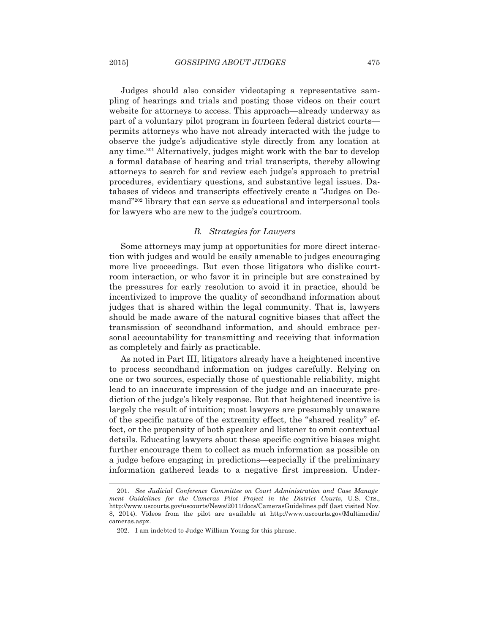Judges should also consider videotaping a representative sampling of hearings and trials and posting those videos on their court website for attorneys to access. This approach—already underway as part of a voluntary pilot program in fourteen federal district courts permits attorneys who have not already interacted with the judge to observe the judge's adjudicative style directly from any location at any time.201 Alternatively, judges might work with the bar to develop a formal database of hearing and trial transcripts, thereby allowing attorneys to search for and review each judge's approach to pretrial procedures, evidentiary questions, and substantive legal issues. Databases of videos and transcripts effectively create a "Judges on Demand"202 library that can serve as educational and interpersonal tools for lawyers who are new to the judge's courtroom.

#### *B. Strategies for Lawyers*

 Some attorneys may jump at opportunities for more direct interaction with judges and would be easily amenable to judges encouraging more live proceedings. But even those litigators who dislike courtroom interaction, or who favor it in principle but are constrained by the pressures for early resolution to avoid it in practice, should be incentivized to improve the quality of secondhand information about judges that is shared within the legal community. That is, lawyers should be made aware of the natural cognitive biases that affect the transmission of secondhand information, and should embrace personal accountability for transmitting and receiving that information as completely and fairly as practicable.

 As noted in Part III, litigators already have a heightened incentive to process secondhand information on judges carefully. Relying on one or two sources, especially those of questionable reliability, might lead to an inaccurate impression of the judge and an inaccurate prediction of the judge's likely response. But that heightened incentive is largely the result of intuition; most lawyers are presumably unaware of the specific nature of the extremity effect, the "shared reality" effect, or the propensity of both speaker and listener to omit contextual details. Educating lawyers about these specific cognitive biases might further encourage them to collect as much information as possible on a judge before engaging in predictions—especially if the preliminary information gathered leads to a negative first impression. Under-

 <sup>201.</sup> *See Judicial Conference Committee on Court Administration and Case Manage ment Guidelines for the Cameras Pilot Project in the District Courts*, U.S. CTS., http://www.uscourts.gov/uscourts/News/2011/docs/CamerasGuidelines.pdf (last visited Nov. 8, 2014). Videos from the pilot are available at http://www.uscourts.gov/Multimedia/ cameras.aspx.

 <sup>202.</sup> I am indebted to Judge William Young for this phrase.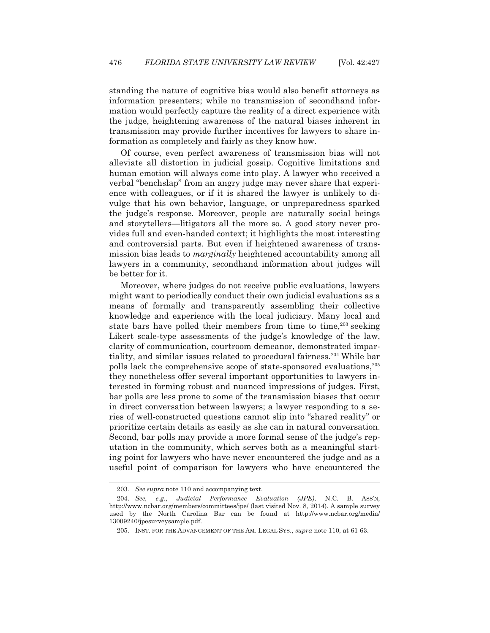standing the nature of cognitive bias would also benefit attorneys as information presenters; while no transmission of secondhand information would perfectly capture the reality of a direct experience with the judge, heightening awareness of the natural biases inherent in transmission may provide further incentives for lawyers to share information as completely and fairly as they know how.

 Of course, even perfect awareness of transmission bias will not alleviate all distortion in judicial gossip. Cognitive limitations and human emotion will always come into play. A lawyer who received a verbal "benchslap" from an angry judge may never share that experience with colleagues, or if it is shared the lawyer is unlikely to divulge that his own behavior, language, or unpreparedness sparked the judge's response. Moreover, people are naturally social beings and storytellers—litigators all the more so. A good story never provides full and even-handed context; it highlights the most interesting and controversial parts. But even if heightened awareness of transmission bias leads to *marginally* heightened accountability among all lawyers in a community, secondhand information about judges will be better for it.

 Moreover, where judges do not receive public evaluations, lawyers might want to periodically conduct their own judicial evaluations as a means of formally and transparently assembling their collective knowledge and experience with the local judiciary. Many local and state bars have polled their members from time to time,<sup>203</sup> seeking Likert scale-type assessments of the judge's knowledge of the law, clarity of communication, courtroom demeanor, demonstrated impartiality, and similar issues related to procedural fairness.<sup>204</sup> While bar polls lack the comprehensive scope of state-sponsored evaluations,205 they nonetheless offer several important opportunities to lawyers interested in forming robust and nuanced impressions of judges. First, bar polls are less prone to some of the transmission biases that occur in direct conversation between lawyers; a lawyer responding to a series of well-constructed questions cannot slip into "shared reality" or prioritize certain details as easily as she can in natural conversation. Second, bar polls may provide a more formal sense of the judge's reputation in the community, which serves both as a meaningful starting point for lawyers who have never encountered the judge and as a useful point of comparison for lawyers who have encountered the

 <sup>203.</sup> *See supra* note 110 and accompanying text.

 <sup>204.</sup> *See, e.g*., *Judicial Performance Evaluation (JPE)*, N.C. B. ASS'N, http://www.ncbar.org/members/committees/jpe/ (last visited Nov. 8, 2014). A sample survey used by the North Carolina Bar can be found at http://www.ncbar.org/media/ 13009240/jpesurveysample.pdf.

 <sup>205.</sup> INST. FOR THE ADVANCEMENT OF THE AM. LEGAL SYS., *supra* note 110, at 61 63.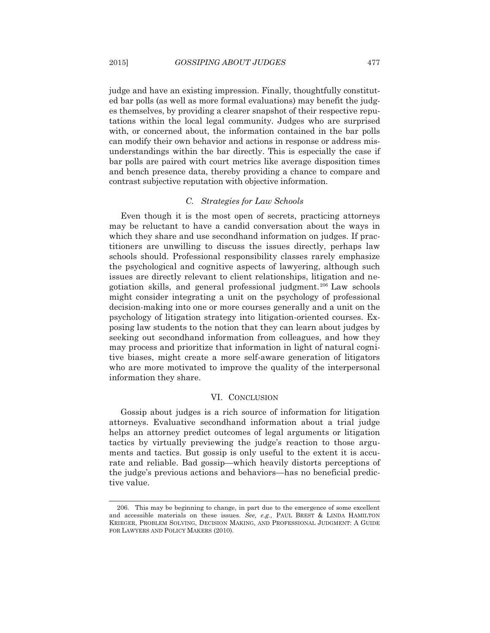judge and have an existing impression. Finally, thoughtfully constituted bar polls (as well as more formal evaluations) may benefit the judges themselves, by providing a clearer snapshot of their respective reputations within the local legal community. Judges who are surprised with, or concerned about, the information contained in the bar polls can modify their own behavior and actions in response or address misunderstandings within the bar directly. This is especially the case if bar polls are paired with court metrics like average disposition times and bench presence data, thereby providing a chance to compare and contrast subjective reputation with objective information.

#### *C. Strategies for Law Schools*

 Even though it is the most open of secrets, practicing attorneys may be reluctant to have a candid conversation about the ways in which they share and use secondhand information on judges. If practitioners are unwilling to discuss the issues directly, perhaps law schools should. Professional responsibility classes rarely emphasize the psychological and cognitive aspects of lawyering, although such issues are directly relevant to client relationships, litigation and negotiation skills, and general professional judgment.206 Law schools might consider integrating a unit on the psychology of professional decision-making into one or more courses generally and a unit on the psychology of litigation strategy into litigation-oriented courses. Exposing law students to the notion that they can learn about judges by seeking out secondhand information from colleagues, and how they may process and prioritize that information in light of natural cognitive biases, might create a more self-aware generation of litigators who are more motivated to improve the quality of the interpersonal information they share.

#### VI. CONCLUSION

 Gossip about judges is a rich source of information for litigation attorneys. Evaluative secondhand information about a trial judge helps an attorney predict outcomes of legal arguments or litigation tactics by virtually previewing the judge's reaction to those arguments and tactics. But gossip is only useful to the extent it is accurate and reliable. Bad gossip—which heavily distorts perceptions of the judge's previous actions and behaviors—has no beneficial predictive value.

 <sup>206.</sup> This may be beginning to change, in part due to the emergence of some excellent and accessible materials on these issues. *See, e.g*., PAUL BREST & LINDA HAMILTON KRIEGER, PROBLEM SOLVING, DECISION MAKING, AND PROFESSIONAL JUDGMENT: A GUIDE FOR LAWYERS AND POLICY MAKERS (2010).